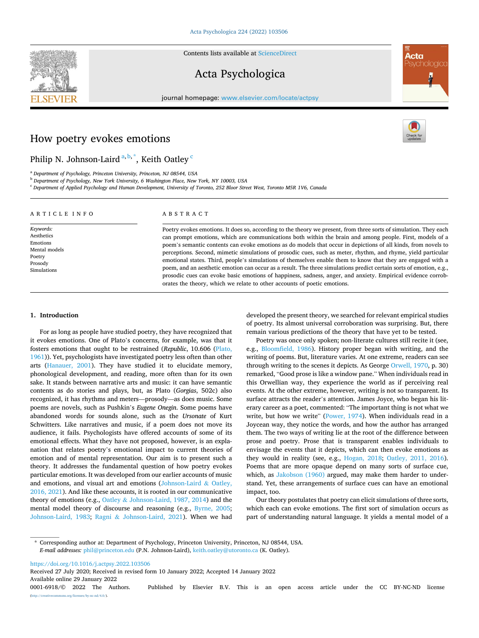Contents lists available at [ScienceDirect](www.sciencedirect.com/science/journal/00016918)

# Acta Psychologica

journal homepage: [www.elsevier.com/locate/actpsy](https://www.elsevier.com/locate/actpsy)

# How poetry evokes emotions

# Philip N. Johnson-Laird <sup>a, b, \*</sup>, Keith Oatley <sup>c</sup>

<sup>a</sup> *Department of Psychology, Princeton University, Princeton, NJ 08544, USA* 

<sup>b</sup> *Department of Psychology, New York University, 6 Washington Place, New York, NY 10003, USA* 

<sup>c</sup> *Department of Applied Psychology and Human Development, University of Toronto, 252 Bloor Street West, Toronto M5R 1V6, Canada* 

#### ARTICLE INFO *Keywords:*  Aesthetics Emotions Mental models Poetry Prosody Simulations ABSTRACT Poetry evokes emotions. It does so, according to the theory we present, from three sorts of simulation. They each can prompt emotions, which are communications both within the brain and among people. First, models of a poem's semantic contents can evoke emotions as do models that occur in depictions of all kinds, from novels to perceptions. Second, mimetic simulations of prosodic cues, such as meter, rhythm, and rhyme, yield particular emotional states. Third, people's simulations of themselves enable them to know that they are engaged with a poem, and an aesthetic emotion can occur as a result. The three simulations predict certain sorts of emotion, e.g., prosodic cues can evoke basic emotions of happiness, sadness, anger, and anxiety. Empirical evidence corroborates the theory, which we relate to other accounts of poetic emotions.

#### **1. Introduction**

For as long as people have studied poetry, they have recognized that it evokes emotions. One of Plato's concerns, for example, was that it fosters emotions that ought to be restrained (*Republic*, 10.606 [\(Plato,](#page-10-0)  [1961\)](#page-10-0)). Yet, psychologists have investigated poetry less often than other arts ([Hanauer, 2001\)](#page-10-0). They have studied it to elucidate memory, phonological development, and reading, more often than for its own sake. It stands between narrative arts and music: it can have semantic contents as do stories and plays, but, as Plato (*Gorgias*, 502c) also recognized, it has rhythms and meters—prosody—as does music. Some poems are novels, such as Pushkin's *Eugene Onegin*. Some poems have abandoned words for sounds alone, such as the *Ursonate* of Kurt Schwitters. Like narratives and music, if a poem does not move its audience, it fails. Psychologists have offered accounts of some of its emotional effects. What they have not proposed, however, is an explanation that relates poetry's emotional impact to current theories of emotion and of mental representation. Our aim is to present such a theory. It addresses the fundamental question of how poetry evokes particular emotions. It was developed from our earlier accounts of music and emotions, and visual art and emotions [\(Johnson-Laird](#page-10-0)  $\&$  Oatley, [2016, 2021\)](#page-10-0). And like these accounts, it is rooted in our communicative theory of emotions (e.g., Oatley & [Johnson-Laird, 1987, 2014\)](#page-10-0) and the mental model theory of discourse and reasoning (e.g., [Byrne, 2005](#page-9-0); [Johnson-Laird, 1983](#page-10-0); Ragni & [Johnson-Laird, 2021\)](#page-10-0). When we had developed the present theory, we searched for relevant empirical studies of poetry. Its almost universal corroboration was surprising. But, there remain various predictions of the theory that have yet to be tested.

Poetry was once only spoken; non-literate cultures still recite it (see, e.g., [Bloomfield, 1986\)](#page-9-0). History proper began with writing, and the writing of poems. But, literature varies. At one extreme, readers can see through writing to the scenes it depicts. As George [Orwell, 1970](#page-10-0), p. 30) remarked, "Good prose is like a window pane." When individuals read in this Orwellian way, they experience the world as if perceiving real events. At the other extreme, however, writing is not so transparent. Its surface attracts the reader's attention. James Joyce, who began his literary career as a poet, commented: "The important thing is not what we write, but how we write" ([Power, 1974\)](#page-10-0). When individuals read in a Joycean way, they notice the words, and how the author has arranged them. The two ways of writing lie at the root of the difference between prose and poetry. Prose that is transparent enables individuals to envisage the events that it depicts, which can then evoke emotions as they would in reality (see, e.g., [Hogan, 2018](#page-10-0); [Oatley, 2011, 2016](#page-10-0)). Poems that are more opaque depend on many sorts of surface cue, which, as [Jakobson \(1960\)](#page-10-0) argued, may make them harder to understand. Yet, these arrangements of surface cues can have an emotional impact, too.

Our theory postulates that poetry can elicit simulations of three sorts, which each can evoke emotions. The first sort of simulation occurs as part of understanding natural language. It yields a mental model of a

\* Corresponding author at: Department of Psychology, Princeton University, Princeton, NJ 08544, USA. *E-mail addresses:* [phil@princeton.edu](mailto:phil@princeton.edu) (P.N. Johnson-Laird), [keith.oatley@utoronto.ca](mailto:keith.oatley@utoronto.ca) (K. Oatley).

<https://doi.org/10.1016/j.actpsy.2022.103506>

Available online 29 January 2022 Received 27 July 2020; Received in revised form 10 January 2022; Accepted 14 January 2022

0001-6918/© 2022 The Authors. Published by Elsevier B.V. This is an open access article under the CC BY-NC-ND license [\(http://creativecommons.org/licenses/by-nc-nd/4.0/\)](http://creativecommons.org/licenses/by-nc-nd/4.0/).





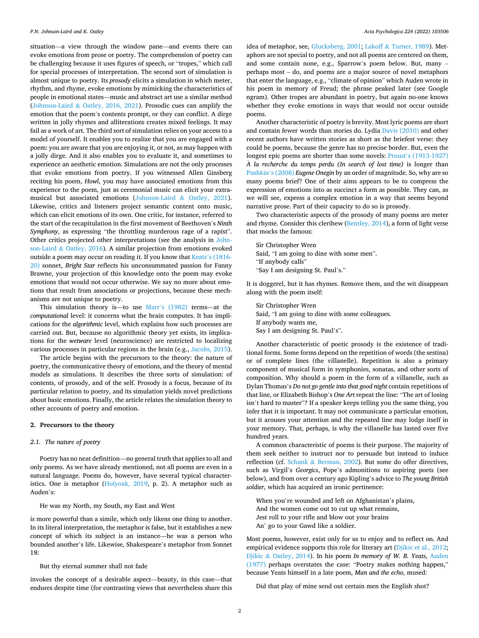situation—a view through the window pane—and events there can evoke emotions from prose or poetry. The comprehension of poetry can be challenging because it uses figures of speech, or "tropes," which call for special processes of interpretation. The second sort of simulation is almost unique to poetry. Its *prosody* elicits a simulation in which meter, rhythm, and rhyme, evoke emotions by mimicking the characteristics of people in emotional states—music and abstract art use a similar method (Johnson-Laird & [Oatley, 2016, 2021](#page-10-0)). Prosodic cues can amplify the emotion that the poem's contents prompt, or they can conflict. A dirge written in jolly rhymes and alliterations creates mixed feelings. It may fail as a work of art. The third sort of simulation relies on your access to a model of yourself. It enables you to realize that you are engaged with a poem: you are aware that you are enjoying it, or not, as may happen with a jolly dirge. And it also enables you to evaluate it, and sometimes to experience an aesthetic emotion. Simulations are not the only processes that evoke emotions from poetry. If you witnessed Allen Ginsberg reciting his poem, *Howl*, you may have associated emotions from this experience to the poem, just as ceremonial music can elicit your extramusical but associated emotions [\(Johnson-Laird](#page-10-0) & Oatley, 2021). Likewise, critics and listeners project semantic content onto music, which can elicit emotions of its own. One critic, for instance, referred to the start of the recapitulation in the first movement of Beethoven's *Ninth Symphony*, as expressing "the throttling murderous rage of a rapist". Other critics projected other interpretations (see the analysis in [John](#page-10-0)son-Laird & [Oatley, 2016\)](#page-10-0). A similar projection from emotions evoked outside a poem may occur on reading it. If you know that Keats'[s \(1816-](#page-10-0)  [20\)](#page-10-0) sonnet, *Bright Star* reflects his unconsummated passion for Fanny Brawne, your projection of this knowledge onto the poem may evoke emotions that would not occur otherwise. We say no more about emotions that result from associations or projections, because these mechanisms are not unique to poetry.

This simulation theory is—to use Marr'[s \(1982\)](#page-10-0) terms—at the *computational* level: it concerns what the brain computes. It has implications for the *algorithmic* level, which explains how such processes are carried out. But, because no algorithmic theory yet exists, its implications for the *wetware* level (neuroscience) are restricted to localizing various processes in particular regions in the brain (e.g., [Jacobs, 2015](#page-10-0)).

The article begins with the precursors to the theory: the nature of poetry, the communicative theory of emotions, and the theory of mental models as simulations. It describes the three sorts of simulation: of contents, of prosody, and of the self. Prosody is a focus, because of its particular relation to poetry, and its simulation yields novel predictions about basic emotions. Finally, the article relates the simulation theory to other accounts of poetry and emotion.

# **2. Precursors to the theory**

## *2.1. The nature of poetry*

Poetry has no neat definition—no general truth that applies to all and only poems. As we have already mentioned, not all poems are even in a natural language. Poems do, however, have several typical characteristics. One is metaphor [\(Holyoak, 2019,](#page-10-0) p. 2). A metaphor such as Auden's:

## He was my North, my South, my East and West

is more powerful than a simile, which only likens one thing to another. In its literal interpretation, the metaphor is false, but it establishes a new concept of which its subject is an instance—he was a person who bounded another's life. Likewise, Shakespeare's metaphor from Sonnet 18:

#### But thy eternal summer shall not fade

invokes the concept of a desirable aspect—beauty, in this case—that endures despite time (for contrasting views that nevertheless share this idea of metaphor, see, [Glucksberg, 2001](#page-10-0); Lakoff & [Turner, 1989\)](#page-10-0). Metaphors are not special to poetry, and not all poems are centered on them, and some contain none, e.g., Sparrow's poem below. But, many – perhaps most – do, and poems are a major source of novel metaphors that enter the language, e.g., "climate of opinion" which Auden wrote in his poem in memory of Freud; the phrase peaked later (see Google ngram). Other tropes are abundant in poetry, but again no-one knows whether they evoke emotions in ways that would not occur outside poems.

Another characteristic of poetry is brevity. Most lyric poems are short and contain fewer words than stories do. Lydia [Davis \(2010\)](#page-9-0) and other recent authors have written stories as short as the briefest verse: they could be poems, because the genre has no precise border. But, even the longest epic poems are shorter than some novels: Proust'[s \(1913-1927\)](#page-10-0)  *A* la recherche du temps perdu (In search of lost time) is longer than Pushkin'[s \(2008\)](#page-10-0) *Eugene Onegin* by an order of magnitude. So, why are so many poems brief? One of their aims appears to be to compress the expression of emotions into as succinct a form as possible. They can, as we will see, express a complex emotion in a way that seems beyond narrative prose. Part of their capacity to do so is prosody.

Two characteristic aspects of the prosody of many poems are meter and rhyme. Consider this clerihew [\(Bentley, 2014](#page-9-0)), a form of light verse that mocks the famous:

Sir Christopher Wren Said, "I am going to dine with some men". "If anybody calls" "Say I am designing St. Paul's."

It is doggerel, but it has rhymes. Remove them, and the wit disappears along with the poem itself:

Sir Christopher Wren Said, "I am going to dine with some colleagues. If anybody wants me, Say I am designing St. Paul's".

Another characteristic of poetic prosody is the existence of traditional forms. Some forms depend on the repetition of words (the sestina) or of complete lines (the villanelle). Repetition is also a primary component of musical form in symphonies, sonatas, and other sorts of composition. Why should a poem in the form of a villanelle, such as Dylan Thomas's *Do not go gentle into that good night* contain repetitions of that line, or Elizabeth Bishop's *One Art* repeat the line: "The art of losing isn't hard to master"? If a speaker keeps telling you the same thing, you infer that it is important. It may not communicate a particular emotion, but it arouses your attention and the repeated line may lodge itself in your memory. That, perhaps, is why the villanelle has lasted over five hundred years.

A common characteristic of poems is their purpose. The majority of them seek neither to instruct nor to persuade but instead to induce reflection (cf. Schank & [Berman, 2002\)](#page-11-0). But some do offer directives, such as Virgil's *Georgics*, Pope's admonitions to aspiring poets (see below), and from over a century ago Kipling's advice to *The young British soldier*, which has acquired an ironic pertinence:

When you're wounded and left on Afghanistan's plains, And the women come out to cut up what remains, Jest roll to your rifle and blow out your brains An' go to your Gawd like a soldier.

Most poems, however, exist only for us to enjoy and to reflect on. And empirical evidence supports this role for literary art [\(Djikic et al., 2012](#page-9-0); Djikic & [Oatley, 2014\)](#page-9-0). In his poem *In memory of W. B. Yeats*, [Auden](#page-9-0)  [\(1977\)](#page-9-0) perhaps overstates the case: "Poetry makes nothing happen," because Yeats himself in a late poem, *Man and the echo*, mused:

Did that play of mine send out certain men the English shot?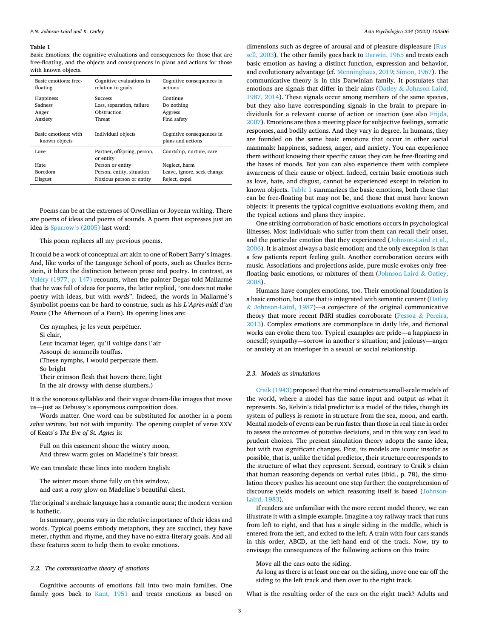#### <span id="page-2-0"></span>**Table 1**

Basic Emotions: the cognitive evaluations and consequences for those that are free-floating, and the objects and consequences in plans and actions for those with known objects.

| Basic emotions: free-<br>floating        | Cognitive evaluations in<br>relation to goals                        | Cognitive consequences in<br>actions             |
|------------------------------------------|----------------------------------------------------------------------|--------------------------------------------------|
| Happiness<br>Sadness<br>Anger<br>Anxiety | <b>Success</b><br>Loss, separation, failure<br>Obstruction<br>Threat | Continue<br>Do nothing<br>Aggress<br>Find safety |
|                                          |                                                                      |                                                  |
| Basic emotions: with<br>known objects    | Individual objects                                                   | Cognitive consequences in<br>plans and actions   |
| Love                                     | Partner, offspring, person,<br>or entity                             | Courtship, nurture, care                         |
| Hate                                     | Person or entity                                                     | Neglect, harm                                    |
| <b>Boredom</b>                           | Person, entity, situation                                            | Leave, ignore, seek change                       |

Poems can be at the extremes of Orwellian or Joycean writing. There are poems of ideas and poems of sounds. A poem that expresses just an idea is [Sparrow](#page-11-0)'s (2005) last word:

This poem replaces all my previous poems.

It could be a work of conceptual art akin to one of Robert Barry's images. And, like works of the Language School of poets, such as Charles Bernstein, it blurs the distinction between prose and poetry. In contrast, as Valéry (1977, p. 147) recounts, when the painter Degas told Mallarmé that he was full of ideas for poems, the latter replied, "one does not make poetry with ideas, but with *words*". Indeed, the words in Mallarmé's Symbolist poems can be hard to construe, such as his *L'Après-midi d'un Faune* (The Afternoon of a Faun). Its opening lines are:

Ces nymphes, je les veux perpétuer. Si clair, Leur incarnat léger, qu'il voltige dans l'air Assoupi de sommeils touffus. (These nymphs, I would perpetuate them. So bright Their crimson flesh that hovers there, light In the air drowsy with dense slumbers.)

It is the sonorous syllables and their vague dream-like images that move us—just as Debussy's eponymous composition does.

Words matter. One word can be substituted for another in a poem *salva veritate,* but not with impunity. The opening couplet of verse XXV of Keats's *The Eve of St. Agnes* is:

Full on this casement shone the wintry moon, And threw warm gules on Madeline's fair breast.

We can translate these lines into modern English:

The winter moon shone fully on this window, and cast a rosy glow on Madeline's beautiful chest.

The original's archaic language has a romantic aura; the modern version is bathetic.

In summary, poems vary in the relative importance of their ideas and words. Typical poems embody metaphors, they are succinct, they have meter, rhythm and rhyme, and they have no extra-literary goals. And all these features seem to help them to evoke emotions.

### *2.2. The communicative theory of emotions*

Cognitive accounts of emotions fall into two main families. One family goes back to [Kant, 1951](#page-10-0) and treats emotions as based on

dimensions such as degree of arousal and of pleasure-displeasure [\(Rus](#page-11-0)[sell, 2003\)](#page-11-0). The other family goes back to [Darwin, 1965](#page-9-0) and treats each basic emotion as having a distinct function, expression and behavior, and evolutionary advantage (cf. [Menninghaus, 2019](#page-10-0); [Simon, 1967](#page-11-0)). The communicative theory is in this Darwinian family. It postulates that emotions are signals that differ in their aims (Oatley & [Johnson-Laird,](#page-10-0)  [1987, 2014](#page-10-0)). These signals occur among members of the same species, but they also have corresponding signals in the brain to prepare individuals for a relevant course of action or inaction (see also [Frijda,](#page-10-0)  [2007\)](#page-10-0). Emotions are thus a meeting place for subjective feelings, somatic responses, and bodily actions. And they vary in degree. In humans, they are founded on the same basic emotions that occur in other social mammals: happiness, sadness, anger, and anxiety. You can experience them without knowing their specific cause; they can be free-floating and the bases of moods. But you can also experience them with complete awareness of their cause or object. Indeed, certain basic emotions such as love, hate, and disgust, cannot be experienced except in relation to known objects. Table 1 summarizes the basic emotions, both those that can be free-floating but may not be, and those that must have known objects: it presents the typical cognitive evaluations evoking them, and the typical actions and plans they inspire.

One striking corroboration of basic emotions occurs in psychological illnesses. Most individuals who suffer from them can recall their onset, and the particular emotion that they experienced [\(Johnson-Laird et al.,](#page-10-0)  [2006\)](#page-10-0). It is almost always a basic emotion; and the only exception is that a few patients report feeling guilt. Another corroboration occurs with music. Associations and projections aside, pure music evokes only free-floating basic emotions, or mixtures of them ([Johnson-Laird](#page-10-0)  $\&$  Oatley, [2008\)](#page-10-0).

Humans have complex emotions, too. Their emotional foundation is a basic emotion, but one that is integrated with semantic content ([Oatley](#page-10-0)  & [Johnson-Laird, 1987\)](#page-10-0)—a conjecture of the original communicative theory that more recent fMRI studies corroborate (Pessoa & [Pereira,](#page-10-0)  [2013\)](#page-10-0). Complex emotions are commonplace in daily life, and fictional works can evoke them too. Typical examples are pride—a happiness in oneself; sympathy—sorrow in another's situation; and jealousy—anger or anxiety at an interloper in a sexual or social relationship.

#### *2.3. Models as simulations*

[Craik \(1943\)](#page-9-0) proposed that the mind constructs small-scale models of the world, where a model has the same input and output as what it represents. So, Kelvin's tidal predictor is a model of the tides, though its system of pulleys is remote in structure from the sea, moon, and earth. Mental models of events can be run faster than those in real time in order to assess the outcomes of putative decisions, and in this way can lead to prudent choices. The present simulation theory adopts the same idea, but with two significant changes. First, its models are iconic insofar as possible, that is, unlike the tidal predictor, their structure corresponds to the structure of what they represent. Second, contrary to Craik's claim that human reasoning depends on verbal rules (ibid., p. 78), the simulation theory pushes his account one step further: the comprehension of discourse yields models on which reasoning itself is based ([Johnson-](#page-10-0)[Laird, 1983](#page-10-0)).

If readers are unfamiliar with the more recent model theory, we can illustrate it with a simple example. Imagine a toy railway track that runs from left to right, and that has a single siding in the middle, which is entered from the left, and exited to the left. A train with four cars stands in this order, ABCD, at the left-hand end of the track. Now, try to envisage the consequences of the following actions on this train:

#### Move all the cars onto the siding.

As long as there is at least one car on the siding, move one car off the siding to the left track and then over to the right track.

What is the resulting order of the cars on the right track? Adults and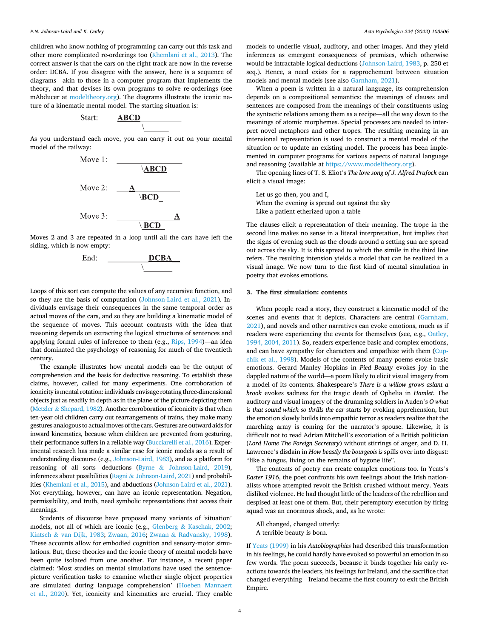children who know nothing of programming can carry out this task and other more complicated re-orderings too [\(Khemlani et al., 2013](#page-10-0)). The correct answer is that the cars on the right track are now in the reverse order: DCBA. If you disagree with the answer, here is a sequence of diagrams—akin to those in a computer program that implements the theory, and that devises its own programs to solve re-orderings (see mAbducer at [modeltheory.org](http://modeltheory.org)). The diagrams illustrate the iconic nature of a kinematic mental model. The starting situation is:



As you understand each move, you can carry it out on your mental model of the railway:



Moves 2 and 3 are repeated in a loop until all the cars have left the siding, which is now empty:



Loops of this sort can compute the values of any recursive function, and so they are the basis of computation ([Johnson-Laird et al., 2021\)](#page-10-0). Individuals envisage their consequences in the same temporal order as actual moves of the cars, and so they are building a kinematic model of the sequence of moves. This account contrasts with the idea that reasoning depends on extracting the logical structures of sentences and applying formal rules of inference to them (e.g., [Rips, 1994](#page-11-0))—an idea that dominated the psychology of reasoning for much of the twentieth century.

The example illustrates how mental models can be the output of comprehension and the basis for deductive reasoning. To establish these claims, however, called for many experiments. One corroboration of iconicity is mental rotation: individuals envisage rotating three-dimensional objects just as readily in depth as in the plane of the picture depicting them (Metzler & [Shepard, 1982](#page-10-0)). Another corroboration of iconicity is that when ten-year old children carry out rearrangements of trains, they make many gestures analogous to actual moves of the cars. Gestures are outward aids for inward kinematics, because when children are prevented from gesturing, their performance suffers in a reliable way [\(Bucciarelli et al., 2016\)](#page-9-0). Experimental research has made a similar case for iconic models as a result of understanding discourse (e.g., [Johnson-Laird, 1983\)](#page-10-0), and as a platform for reasoning of all sorts—deductions (Byrne & [Johnson-Laird, 2019\)](#page-9-0), inferences about possibilities (Ragni & [Johnson-Laird, 2021](#page-10-0)) and probabilities ([Khemlani et al., 2015](#page-10-0)), and abductions [\(Johnson-Laird et al., 2021\)](#page-10-0). Not everything, however, can have an iconic representation. Negation, permissibility, and truth, need symbolic representations that access their meanings.

Students of discourse have proposed many variants of 'situation' models, not all of which are iconic (e.g., Glenberg & [Kaschak, 2002](#page-10-0); Kintsch & [van Dijk, 1983](#page-10-0); [Zwaan, 2016](#page-11-0); Zwaan & [Radvansky, 1998](#page-11-0)). These accounts allow for embodied cognition and sensory-motor simulations. But, these theories and the iconic theory of mental models have been quite isolated from one another. For instance, a recent paper claimed: 'Most studies on mental simulations have used the sentencepicture verification tasks to examine whether single object properties are simulated during language comprehension' ([Hoeben Mannaert](#page-10-0)  [et al., 2020\)](#page-10-0). Yet, iconicity and kinematics are crucial. They enable

models to underlie visual, auditory, and other images. And they yield inferences as emergent consequences of premises, which otherwise would be intractable logical deductions [\(Johnson-Laird, 1983](#page-10-0), p. 250 et seq.). Hence, a need exists for a rapprochement between situation models and mental models (see also [Garnham, 2021\)](#page-10-0).

When a poem is written in a natural language, its comprehension depends on a compositional semantics: the meanings of clauses and sentences are composed from the meanings of their constituents using the syntactic relations among them as a recipe—all the way down to the meanings of atomic morphemes. Special processes are needed to interpret novel metaphors and other tropes. The resulting meaning in an intensional representation is used to construct a mental model of the situation or to update an existing model. The process has been implemented in computer programs for various aspects of natural language and reasoning (available at<https://www.modeltheory.org>).

The opening lines of T. S. Eliot's *The love song of J. Alfred Prufock* can elicit a visual image:

Let us go then, you and I, When the evening is spread out against the sky Like a patient etherized upon a table

The clauses elicit a representation of their meaning. The trope in the second line makes no sense in a literal interpretation, but implies that the signs of evening such as the clouds around a setting sun are spread out across the sky. It is this spread to which the simile in the third line refers. The resulting intension yields a model that can be realized in a visual image. We now turn to the first kind of mental simulation in poetry that evokes emotions.

#### **3. The first simulation: contents**

When people read a story, they construct a kinematic model of the scenes and events that it depicts. Characters are central (Garnham, [2021\)](#page-10-0), and novels and other narratives can evoke emotions, much as if readers were experiencing the events for themselves (see, e.g., [Oatley,](#page-10-0)  [1994, 2004, 2011\)](#page-10-0). So, readers experience basic and complex emotions, and can have sympathy for characters and empathize with them [\(Cup](#page-9-0)[chik et al., 1998\)](#page-9-0). Models of the contents of many poems evoke basic emotions. Gerard Manley Hopkins in *Pied Beauty* evokes joy in the dappled nature of the world—a poem likely to elicit visual imagery from a model of its contents. Shakespeare's *There is a willow grows aslant a brook* evokes sadness for the tragic death of Ophelia in *Hamlet*. The auditory and visual imagery of the drumming soldiers in Auden's *O what is that sound which so thrills the ear* starts by evoking apprehension, but the emotion slowly builds into empathic terror as readers realize that the marching army is coming for the narrator's spouse. Likewise, it is difficult not to read Adrian Mitchell's excoriation of a British politician (*Lord Home The Foreign Secretary*) without stirrings of anger, and D. H. Lawrence's disdain in *How beastly the bourgeois is* spills over into disgust: "like a fungus, living on the remains of bygone life".

The contents of poetry can create complex emotions too. In Yeats's *Easter 1916*, the poet confronts his own feelings about the Irish nationalists whose attempted revolt the British crushed without mercy. Yeats disliked violence. He had thought little of the leaders of the rebellion and despised at least one of them. But, their peremptory execution by firing squad was an enormous shock, and, as he wrote:

All changed, changed utterly: A terrible beauty is born.

If [Yeats \(1999\)](#page-11-0) in his *Autobiographies* had described this transformation in his feelings, he could hardly have evoked so powerful an emotion in so few words. The poem succeeds, because it binds together his early reactions towards the leaders, his feelings for Ireland, and the sacrifice that changed everything—Ireland became the first country to exit the British Empire.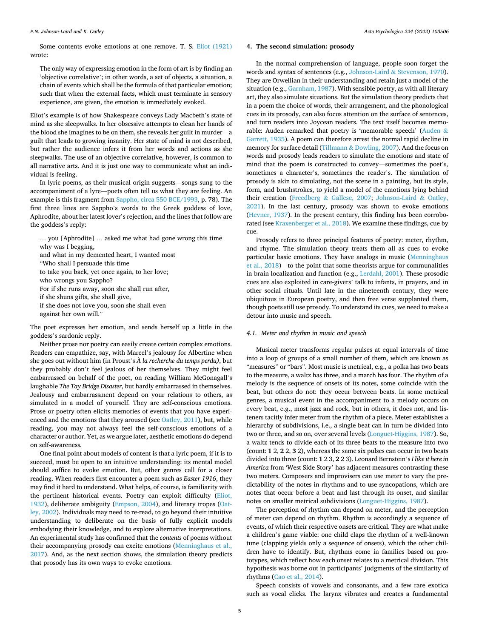Some contents evoke emotions at one remove. T. S. [Eliot \(1921\)](#page-9-0)  wrote:

The only way of expressing emotion in the form of art is by finding an 'objective correlative'; in other words, a set of objects, a situation, a chain of events which shall be the formula of that particular emotion; such that when the external facts, which must terminate in sensory experience, are given, the emotion is immediately evoked.

Eliot's example is of how Shakespeare conveys Lady Macbeth's state of mind as she sleepwalks. In her obsessive attempts to clean her hands of the blood she imagines to be on them, she reveals her guilt in murder—a guilt that leads to growing insanity. Her state of mind is not described, but rather the audience infers it from her words and actions as she sleepwalks. The use of an objective correlative, however, is common to all narrative arts. And it is just one way to communicate what an individual is feeling.

In lyric poems, as their musical origin suggests—songs sung to the accompaniment of a lyre—poets often tell us what they are feeling. An example is this fragment from [Sappho, circa 550 BCE/1993](#page-11-0), p. 78). The first three lines are Sappho's words to the Greek goddess of love, Aphrodite, about her latest lover's rejection, and the lines that follow are the goddess's reply:

… you [Aphrodite] … asked me what had gone wrong this time why was I begging, and what in my demented heart, I wanted most "Who shall I persuade this time to take you back, yet once again, to her love; who wrongs you Sappho? For if she runs away, soon she shall run after, if she shuns gifts, she shall give, if she does not love you, soon she shall even against her own will." The poet expresses her emotion, and sends herself up a little in the goddess's sardonic reply.

Neither prose nor poetry can easily create certain complex emotions. Readers can empathize, say, with Marcel's jealousy for Albertine when she goes out without him (in Proust's *A* ` *la recherche du temps perdu)*, but they probably don't feel jealous of her themselves. They might feel embarrassed on behalf of the poet, on reading William McGonagall's laughable *The Tay Bridge Disaster*, but hardly embarrassed in themselves. Jealousy and embarrassment depend on your relations to others, as simulated in a model of yourself. They are self-conscious emotions. Prose or poetry often elicits memories of events that you have experi-enced and the emotions that they aroused (see [Oatley, 2011](#page-10-0)), but, while reading, you may not always feel the self-conscious emotions of a character or author. Yet, as we argue later, aesthetic emotions do depend on self-awareness.

One final point about models of content is that a lyric poem, if it is to succeed, must be open to an intuitive understanding: its mental model should suffice to evoke emotion. But, other genres call for a closer reading. When readers first encounter a poem such as *Easter 1916*, they may find it hard to understand. What helps, of course, is familiarity with the pertinent historical events. Poetry can exploit difficulty ([Eliot,](#page-10-0)  [1932\)](#page-10-0), deliberate ambiguity ([Empson, 2004\)](#page-10-0), and literary tropes ([Oat](#page-10-0)[ley, 2002](#page-10-0)). Individuals may need to re-read, to go beyond their intuitive understanding to deliberate on the basis of fully explicit models embodying their knowledge, and to explore alternative interpretations. An experimental study has confirmed that the *contents* of poems without their accompanying prosody can excite emotions [\(Menninghaus et al.,](#page-10-0)  [2017\)](#page-10-0). And, as the next section shows, the simulation theory predicts that prosody has its own ways to evoke emotions.

# **4. The second simulation: prosody**

In the normal comprehension of language, people soon forget the words and syntax of sentences (e.g., Johnson-Laird & [Stevenson, 1970](#page-10-0)). They are Orwellian in their understanding and retain just a model of the situation (e.g., [Garnham, 1987](#page-10-0)). With sensible poetry, as with all literary art, they also simulate situations. But the simulation theory predicts that in a poem the choice of words, their arrangement, and the phonological cues in its prosody, can also focus attention on the surface of sentences, and turn readers into Joycean readers. The text itself becomes memorable: Auden remarked that poetry is 'memorable speech' [\(Auden](#page-9-0) & [Garrett, 1935](#page-9-0)). A poem can therefore arrest the normal rapid decline in memory for surface detail (Tillmann & [Dowling, 2007](#page-11-0)). And the focus on words and prosody leads readers to simulate the emotions and state of mind that the poem is constructed to convey—sometimes the poet's, sometimes a character's, sometimes the reader's. The simulation of prosody is akin to simulating, not the scene in a painting, but its style, form, and brushstrokes, to yield a model of the emotions lying behind their creation (Freedberg & [Gallese, 2007;](#page-10-0) [Johnson-Laird](#page-10-0) & Oatley, [2021\)](#page-10-0). In the last century, prosody was shown to evoke emotions ([Hevner, 1937](#page-10-0)). In the present century, this finding has been corroborated (see [Kraxenberger et al., 2018\)](#page-10-0). We examine these findings, cue by cue.

Prosody refers to three principal features of poetry: meter, rhythm, and rhyme. The simulation theory treats them all as cues to evoke particular basic emotions. They have analogs in music [\(Menninghaus](#page-10-0)  [et al., 2018\)](#page-10-0)—to the point that some theorists argue for communalities in brain localization and function (e.g., [Lerdahl, 2001](#page-10-0)). These prosodic cues are also exploited in care-givers' talk to infants, in prayers, and in other social rituals. Until late in the nineteenth century, they were ubiquitous in European poetry, and then free verse supplanted them, though poets still use prosody. To understand its cues, we need to make a detour into music and speech.

#### *4.1. Meter and rhythm in music and speech*

Musical meter transforms regular pulses at equal intervals of time into a loop of groups of a small number of them, which are known as "measures" or "bars". Most music is metrical, e.g., a polka has two beats to the measure, a waltz has three, and a march has four. The rhythm of a melody is the sequence of onsets of its notes, some coincide with the beat, but others do not: they occur between beats. In some metrical genres, a musical event in the accompaniment to a melody occurs on every beat, e.g., most jazz and rock, but in others, it does not, and listeners tacitly infer meter from the rhythm of a piece. Meter establishes a hierarchy of subdivisions, i.e., a single beat can in turn be divided into two or three, and so on, over several levels ([Longuet-Higgins, 1987\)](#page-10-0). So, a waltz tends to divide each of its three beats to the measure into two (count: **1** 2, **2** 2, **3** 2), whereas the same six pulses can occur in two beats divided into three (count: **1** 2 3, **2** 2 3). Leonard Bernstein's *I like it here in America* from 'West Side Story' has adjacent measures contrasting these two meters. Composers and improvisers can use meter to vary the predictability of the notes in rhythms and to use syncopations, which are notes that occur before a beat and last through its onset, and similar notes on smaller metrical subdivisions [\(Longuet-Higgins, 1987\)](#page-10-0).

The perception of rhythm can depend on meter, and the perception of meter can depend on rhythm. Rhythm is accordingly a sequence of events, of which their respective onsets are critical. They are what make a children's game viable: one child claps the rhythm of a well-known tune (clapping yields only a sequence of onsets), which the other children have to identify. But, rhythms come in families based on prototypes, which reflect how each onset relates to a metrical division. This hypothesis was borne out in participants' judgments of the similarity of rhythms [\(Cao et al., 2014](#page-9-0)).

Speech consists of vowels and consonants, and a few rare exotica such as vocal clicks. The larynx vibrates and creates a fundamental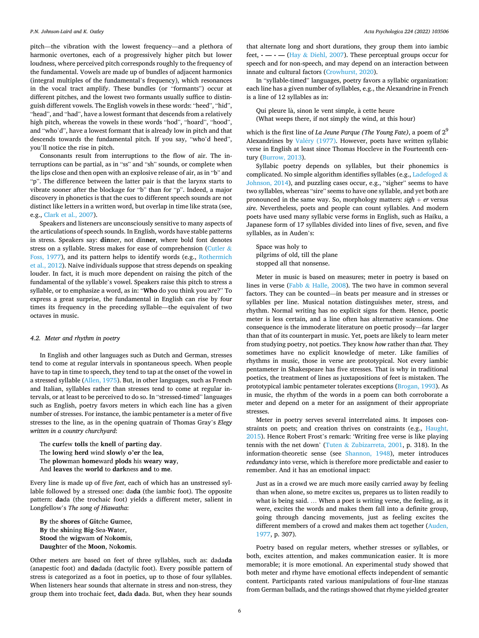pitch—the vibration with the lowest frequency—and a plethora of harmonic overtones, each of a progressively higher pitch but lower loudness, where perceived pitch corresponds roughly to the frequency of the fundamental. Vowels are made up of bundles of adjacent harmonics (integral multiples of the fundamental's frequency), which resonances in the vocal tract amplify. These bundles (or "formants") occur at different pitches, and the lowest two formants usually suffice to distinguish different vowels. The English vowels in these words: "heed", "hid", "head", and "had", have a lowest formant that descends from a relatively high pitch, whereas the vowels in these words "hod", "hoard", "hood", and "who'd", have a lowest formant that is already low in pitch and that descends towards the fundamental pitch. If you say, "who'd heed", you'll notice the rise in pitch.

Consonants result from interruptions to the flow of air. The interruptions can be partial, as in "ss" and "sh" sounds, or complete when the lips close and then open with an explosive release of air, as in "b" and "p". The difference between the latter pair is that the larynx starts to vibrate sooner after the blockage for "b" than for "p". Indeed, a major discovery in phonetics is that the cues to different speech sounds are not distinct like letters in a written word, but overlap in time like strata (see, e.g., [Clark et al., 2007](#page-9-0)).

Speakers and listeners are unconsciously sensitive to many aspects of the articulations of speech sounds. In English, words have stable patterns in stress. Speakers say: **din**ner, not din**ner**, where bold font denotes stress on a syllable. Stress makes for ease of comprehension [\(Cutler](#page-9-0) & [Foss, 1977\)](#page-9-0), and its pattern helps to identify words (e.g., [Rothermich](#page-11-0)  [et al., 2012](#page-11-0)). Naive individuals suppose that stress depends on speaking louder. In fact, it is much more dependent on raising the pitch of the fundamental of the syllable's vowel. Speakers raise this pitch to stress a syllable, or to emphasize a word, as in: "**Who** do you think you are?" To express a great surprise, the fundamental in English can rise by four times its frequency in the preceding syllable—the equivalent of two octaves in music.

#### *4.2. Meter and rhythm in poetry*

In English and other languages such as Dutch and German, stresses tend to come at regular intervals in spontaneous speech. When people have to tap in time to speech, they tend to tap at the onset of the vowel in a stressed syllable ([Allen, 1975\)](#page-9-0). But, in other languages, such as French and Italian, syllables rather than stresses tend to come at regular intervals, or at least to be perceived to do so. In "stressed-timed" languages such as English, poetry favors meters in which each line has a given number of stresses. For instance, the iambic pentameter is a meter of five stresses to the line, as in the opening quatrain of Thomas Gray's *Elegy written in a country churchyard*:

The **cur**few **tolls** the **knell** of **part**ing **day**. The **low**ing **herd** wind **slow**ly **o'er** the **lea**, The **plow**man **home**ward **plods** his **wear**y **way**, And **leaves** the **world** to **dark**ness **and** to **me**.

Every line is made up of five *feet*, each of which has an unstressed syllable followed by a stressed one: da**da** (the iambic foot). The opposite pattern: **da**da (the trochaic foot) yields a different meter, salient in Longfellow's *The song of Hiawatha*:

**By** the **shores** of **Git**che **Gu**mee, **By** the **shi**ning **Big**-Sea-**Wa**ter, **Stood** the **wig**wam **of** No**kom**is, **Daugh**ter **of** the **Moon**, No**kom**is.

Other meters are based on feet of three syllables, such as: dada**da**  (anapestic foot) and **da**dada (dactylic foot). Every possible pattern of stress is categorized as a foot in poetics, up to those of four syllables. When listeners hear sounds that alternate in stress and non-stress, they group them into trochaic feet, **da**da **da**da. But, when they hear sounds

that alternate long and short durations, they group them into iambic feet, **- — - —** (Hay & [Diehl, 2007\)](#page-10-0). These perceptual groups occur for speech and for non-speech, and may depend on an interaction between innate and cultural factors [\(Crowhurst, 2020\)](#page-9-0).

In "syllable-timed" languages, poetry favors a syllabic organization: each line has a given number of syllables, e.g., the Alexandrine in French is a line of 12 syllables as in:

Qui pleure là, sinon le vent simple, à cette heure (What weeps there, if not simply the wind, at this hour)

which is the first line of *La Jeune Parque (The Young Fate)*, a poem of 29 Alexandrines by Valéry (1977). However, poets have written syllabic verse in English at least since Thomas Hoccleve in the Fourteenth century ([Burrow, 2013](#page-9-0)).

Syllabic poetry depends on syllables, but their phonemics is complicated. No simple algorithm identifies syllables (e.g., [Ladefoged](#page-10-0) & [Johnson, 2014\)](#page-10-0), and puzzling cases occur, e.g., "sigher" seems to have two syllables, whereas "sire" seems to have one syllable, and yet both are pronounced in the same way. So, morphology matters:  $sigh + er$  versus *sire*. Nevertheless, poets and people can count syllables. And modern poets have used many syllabic verse forms in English, such as Haiku, a Japanese form of 17 syllables divided into lines of five, seven, and five syllables, as in Auden's:

Space was holy to pilgrims of old, till the plane stopped all that nonsense.

Meter in music is based on measures; meter in poetry is based on lines in verse (Fabb & [Halle, 2008](#page-10-0)). The two have in common several factors. They can be counted—in beats per measure and in stresses or syllables per line. Musical notation distinguishes meter, stress, and rhythm. Normal writing has no explicit signs for them. Hence, poetic meter is less certain, and a line often has alternative scansions. One consequence is the immoderate literature on poetic prosody—far larger than that of its counterpart in music. Yet, poets are likely to learn meter from studying poetry, not poetics. They know *how* rather than *that.* They sometimes have no explicit knowledge of meter. Like families of rhythms in music, those in verse are prototypical. Not every iambic pentameter in Shakespeare has five stresses. That is why in traditional poetics, the treatment of lines as juxtapositions of feet is mistaken. The prototypical iambic pentameter tolerates exceptions [\(Brogan, 1993\)](#page-9-0). As in music, the rhythm of the words in a poem can both corroborate a meter and depend on a meter for an assignment of their appropriate stresses.

Meter in poetry serves several interrelated aims. It imposes constraints on poets; and creation thrives on constraints (e.g., [Haught,](#page-10-0)  [2015\)](#page-10-0). Hence Robert Frost's remark: 'Writing free verse is like playing tennis with the net down' (Tuten & [Zubizarreta, 2001,](#page-11-0) p. 318). In the information-theoretic sense (see [Shannon, 1948](#page-11-0)), meter introduces *redundancy* into verse, which is therefore more predictable and easier to remember. And it has an emotional impact:

Just as in a crowd we are much more easily carried away by feeling than when alone, so metre excites us, prepares us to listen readily to what is being said. … When a poet is writing verse, the feeling, as it were, excites the words and makes them fall into a definite group, going through dancing movements, just as feeling excites the different members of a crowd and makes them act together (Auden, [1977,](#page-9-0) p. 307).

Poetry based on regular meters, whether stresses or syllables, or both, excites attention, and makes communication easier. It is more memorable; it is more emotional. An experimental study showed that both meter and rhyme have emotional effects independent of semantic content. Participants rated various manipulations of four-line stanzas from German ballads, and the ratings showed that rhyme yielded greater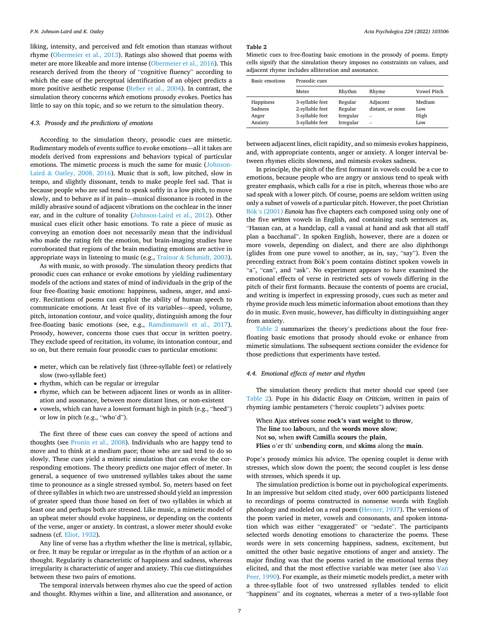<span id="page-6-0"></span>liking, intensity, and perceived and felt emotion than stanzas without rhyme ([Obermeier et al., 2013](#page-10-0)). Ratings also showed that poems with meter are more likeable and more intense ([Obermeier et al., 2016\)](#page-10-0). This research derived from the theory of "cognitive fluency" according to which the ease of the perceptual identification of an object predicts a more positive aesthetic response [\(Reber et al., 2004](#page-11-0)). In contrast, the simulation theory concerns *which* emotions prosody evokes. Poetics has little to say on this topic, and so we return to the simulation theory.

## *4.3. Prosody and the predictions of emotions*

According to the simulation theory, prosodic cues are mimetic. Rudimentary models of events suffice to evoke emotions—all it takes are models derived from expressions and behaviors typical of particular emotions. The mimetic process is much the same for music ([Johnson-](#page-10-0)Laird & [Oatley, 2008, 2016](#page-10-0)). Music that is soft, low pitched, slow in tempo, and slightly dissonant, tends to make people feel sad. That is because people who are sad tend to speak softly in a low pitch, to move slowly, and to behave as if in pain—musical dissonance is rooted in the mildly abrasive sound of adjacent vibrations on the cochlear in the inner ear, and in the culture of tonality ([Johnson-Laird et al., 2012](#page-10-0)). Other musical cues elicit other basic emotions. To rate a piece of music as conveying an emotion does not necessarily mean that the individual who made the rating felt the emotion, but brain-imaging studies have corroborated that regions of the brain mediating emotions are active in appropriate ways in listening to music (e.g., Trainor & [Schmidt, 2003](#page-11-0)).

As with music, so with prosody. The simulation theory predicts that prosodic cues can enhance or evoke emotions by yielding rudimentary models of the actions and states of mind of individuals in the grip of the four free-floating basic emotions: happiness, sadness, anger, and anxiety. Recitations of poems can exploit the ability of human speech to communicate emotions. At least five of its variables—speed, volume, pitch, intonation contour, and voice quality, distinguish among the four free-floating basic emotions (see, e.g., [Ramdinmawii et al., 2017](#page-10-0)). Prosody, however, concerns those cues that occur in written poetry. They exclude speed of recitation, its volume, its intonation contour, and so on, but there remain four prosodic cues to particular emotions:

- meter, which can be relatively fast (three-syllable feet) or relatively slow (two-syllable feet)
- rhythm, which can be regular or irregular
- rhyme, which can be between adjacent lines or words as in alliteration and assonance, between more distant lines, or non-existent
- vowels, which can have a lowest formant high in pitch (e.g., "heed") or low in pitch (e.g., "who'd").

The first three of these cues can convey the speed of actions and thoughts (see [Pronin et al., 2008\)](#page-10-0). Individuals who are happy tend to move and to think at a medium pace; those who are sad tend to do so slowly. These cues yield a mimetic simulation that can evoke the corresponding emotions. The theory predicts one major effect of meter. In general, a sequence of two unstressed syllables takes about the same time to pronounce as a single stressed symbol. So, meters based on feet of three syllables in which two are unstressed should yield an impression of greater speed than those based on feet of two syllables in which at least one and perhaps both are stressed. Like music, a mimetic model of an upbeat meter should evoke happiness, or depending on the contents of the verse, anger or anxiety. In contrast, a slower meter should evoke sadness (cf. [Eliot, 1932](#page-10-0)).

Any line of verse has a rhythm whether the line is metrical, syllabic, or free. It may be regular or irregular as in the rhythm of an action or a thought. Regularity is characteristic of happiness and sadness, whereas irregularity is characteristic of anger and anxiety. This cue distinguishes between these two pairs of emotions.

The temporal intervals between rhymes also cue the speed of action and thought. Rhymes within a line, and alliteration and assonance, or

#### **Table 2**

Mimetic cues to free-floating basic emotions in the prosody of poems. Empty cells signify that the simulation theory imposes no constraints on values, and adjacent rhyme includes alliteration and assonance.

| Basic emotions | Prosodic cues   |           |                          |                    |
|----------------|-----------------|-----------|--------------------------|--------------------|
|                | Meter           | Rhythm    | Rhyme                    | <b>Vowel Pitch</b> |
| Happiness      | 3-syllable feet | Regular   | Adjacent                 | Medium             |
| Sadness        | 2-syllable feet | Regular   | distant, or none         | Low                |
| Anger          | 3-syllable feet | Irregular |                          | High               |
| Anxiety        | 3-syllable feet | Irregular | $\overline{\phantom{a}}$ | Low                |

between adjacent lines, elicit rapidity, and so mimesis evokes happiness, and, with appropriate contents, anger or anxiety. A longer interval between rhymes elicits slowness, and mimesis evokes sadness.

In principle, the pitch of the first formant in vowels could be a cue to emotions, because people who are angry or anxious tend to speak with greater emphasis, which calls for a rise in pitch, whereas those who are sad speak with a lower pitch. Of course, poems are seldom written using only a subset of vowels of a particular pitch. However, the poet Christian Bök'[s \(2001\)](#page-9-0) *Eunoia* has five chapters each composed using only one of the five *written* vowels in English, and containing such sentences as, "Hassan can, at a handclap, call a vassal at hand and ask that all staff plan a bacchanal". In spoken English, however, there are a dozen or more vowels, depending on dialect, and there are also diphthongs (glides from one pure vowel to another, as in, say, "say"). Even the preceding extract from Bök's poem contains distinct spoken vowels in "a", "can", and "ask". No experiment appears to have examined the emotional effects of verse in restricted sets of vowels differing in the pitch of their first formants. Because the contents of poems are crucial, and writing is imperfect in expressing prosody, cues such as meter and rhyme provide much less mimetic information about emotions than they do in music. Even music, however, has difficulty in distinguishing anger from anxiety.

Table 2 summarizes the theory's predictions about the four freefloating basic emotions that prosody should evoke or enhance from mimetic simulations. The subsequent sections consider the evidence for those predictions that experiments have tested.

#### *4.4. Emotional effects of meter and rhythm*

The simulation theory predicts that meter should cue speed (see Table 2). Pope in his didactic *Essay on Criticism*, written in pairs of rhyming iambic pentameters ("heroic couplets") advises poets:

When **A**jax **strives** some **rock's vast weight** to **throw**, The **line** too **lab**ours, and the **words move slow**; Not **so**, when **swift** Ca**mil**la **scours** the **plain**, **Flies** o'er th' un**bend**ing **corn**, and **skims** along the **main**.

Pope's prosody mimics his advice. The opening couplet is dense with stresses, which slow down the poem; the second couplet is less dense with stresses, which speeds it up.

The simulation prediction is borne out in psychological experiments. In an impressive but seldom cited study, over 600 participants listened to recordings of poems constructed in nonsense words with English phonology and modeled on a real poem ([Hevner, 1937\)](#page-10-0). The versions of the poem varied in meter, vowels and consonants, and spoken intonation which was either "exaggerated" or "sedate". The participants selected words denoting emotions to characterize the poems. These words were in sets concerning happiness, sadness, excitement, but omitted the other basic negative emotions of anger and anxiety. The major finding was that the poems varied in the emotional terms they elicited, and that the most effective variable was meter (see also [Van](#page-11-0)  [Peer, 1990](#page-11-0)). For example, as their mimetic models predict, a meter with a three-syllable foot of two unstressed syllables tended to elicit "happiness" and its cognates, whereas a meter of a two-syllable foot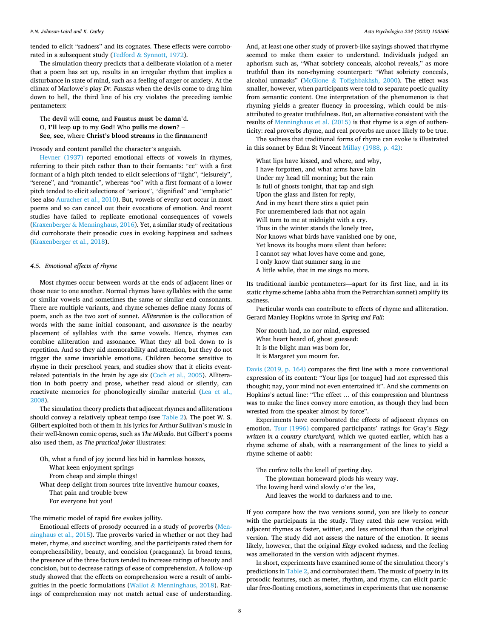tended to elicit "sadness" and its cognates. These effects were corroborated in a subsequent study (Tedford & [Synnott, 1972\)](#page-11-0).

The simulation theory predicts that a deliberate violation of a meter that a poem has set up, results in an irregular rhythm that implies a disturbance in state of mind, such as a feeling of anger or anxiety. At the climax of Marlowe's play *Dr. Faustus* when the devils come to drag him down to hell, the third line of his cry violates the preceding iambic pentameters:

The **dev**il will **come**, and **Faus**tus **must** be **damn**'d. O, **I'll** leap **up** to my **God**! Who **pulls** me **down**? –

**See**, **see**, where **Christ's blood streams** in the **firm**ament!

Prosody and content parallel the character's anguish.

[Hevner \(1937\)](#page-10-0) reported emotional effects of vowels in rhymes, referring to their pitch rather than to their formants: "ee" with a first formant of a high pitch tended to elicit selections of "light", "leisurely", "serene", and "romantic", whereas "oo" with a first formant of a lower pitch tended to elicit selections of "serious", "dignified" and "emphatic" (see also [Auracher et al., 2010](#page-9-0)). But, vowels of every sort occur in most poems and so can cancel out their evocations of emotion. And recent studies have failed to replicate emotional consequences of vowels (Kraxenberger & [Menninghaus, 2016](#page-10-0)). Yet, a similar study of recitations did corroborate their prosodic cues in evoking happiness and sadness ([Kraxenberger et al., 2018\)](#page-10-0).

# *4.5. Emotional effects of rhyme*

Most rhymes occur between words at the ends of adjacent lines or those near to one another. Normal rhymes have syllables with the same or similar vowels and sometimes the same or similar end consonants. There are multiple variants, and rhyme schemes define many forms of poem, such as the two sort of sonnet. *Alliteration* is the collocation of words with the same initial consonant, and *assonance* is the nearby placement of syllables with the same vowels. Hence, rhymes can combine alliteration and assonance. What they all boil down to is repetition. And so they aid memorability and attention, but they do not trigger the same invariable emotions. Children become sensitive to rhyme in their preschool years, and studies show that it elicits eventrelated potentials in the brain by age six ([Coch et al., 2005\)](#page-9-0). Alliteration in both poetry and prose, whether read aloud or silently, can reactivate memories for phonologically similar material ([Lea et al.,](#page-10-0)  [2008\)](#page-10-0).

The simulation theory predicts that adjacent rhymes and alliterations should convey a relatively upbeat tempo (see [Table 2](#page-6-0)). The poet W. S. Gilbert exploited both of them in his lyrics for Arthur Sullivan's music in their well-known comic operas, such as *The Mikado*. But Gilbert's poems also used them, as *The practical joker* illustrates:

Oh, what a fund of joy jocund lies hid in harmless hoaxes,

What keen enjoyment springs

From cheap and simple things!

What deep delight from sources trite inventive humour coaxes, That pain and trouble brew For everyone but you!

The mimetic model of rapid fire evokes jollity.

Emotional effects of prosody occurred in a study of proverbs ([Men](#page-10-0)[ninghaus et al., 2015](#page-10-0)). The proverbs varied in whether or not they had meter, rhyme, and succinct wording, and the participants rated them for comprehensibility, beauty, and concision (praegnanz). In broad terms, the presence of the three factors tended to increase ratings of beauty and concision, but to decrease ratings of ease of comprehension. A follow-up study showed that the effects on comprehension were a result of ambiguities in the poetic formulations (Wallot  $\&$  [Menninghaus, 2018](#page-11-0)). Ratings of comprehension may not match actual ease of understanding.

And, at least one other study of proverb-like sayings showed that rhyme seemed to make them easier to understand. Individuals judged an aphorism such as, "What sobriety conceals, alcohol reveals," as more truthful than its non-rhyming counterpart: "What sobriety conceals, alcohol unmasks" (McGlone & [Tofighbakhsh, 2000\)](#page-10-0). The effect was smaller, however, when participants were told to separate poetic quality from semantic content. One interpretation of the phenomenon is that rhyming yields a greater fluency in processing, which could be misattributed to greater truthfulness. But, an alternative consistent with the results of [Menninghaus et al. \(2015\)](#page-10-0) is that rhyme is a sign of authenticity: real proverbs rhyme, and real proverbs are more likely to be true.

The sadness that traditional forms of rhyme can evoke is illustrated in this sonnet by Edna St Vincent [Millay \(1988, p. 42\)](#page-10-0):

What lips have kissed, and where, and why, I have forgotten, and what arms have lain Under my head till morning; but the rain Is full of ghosts tonight, that tap and sigh Upon the glass and listen for reply, And in my heart there stirs a quiet pain For unremembered lads that not again Will turn to me at midnight with a cry. Thus in the winter stands the lonely tree, Nor knows what birds have vanished one by one, Yet knows its boughs more silent than before: I cannot say what loves have come and gone, I only know that summer sang in me A little while, that in me sings no more.

Its traditional iambic pentameters—apart for its first line, and in its static rhyme scheme (abba abba from the Petrarchian sonnet) amplify its sadness.

Particular words can contribute to effects of rhyme and alliteration. Gerard Manley Hopkins wrote in *Spring and Fall*:

Nor mouth had, no nor mind, expressed What heart heard of, ghost guessed: It ís the blight man was born for, It is Margaret you mourn for.

[Davis \(2019, p. 164\)](#page-9-0) compares the first line with a more conventional expression of its content: "Your lips [or tongue] had not expressed this thought; nay, your mind not even entertained it". And she comments on Hopkins's actual line: "The effect … of this compression and bluntness was to make the lines convey more emotion, as though they had been wrested from the speaker almost by force".

Experiments have corroborated the effects of adjacent rhymes on emotion. [Tsur \(1996\)](#page-11-0) compared participants' ratings for Gray's *Elegy written in a country churchyard*, which we quoted earlier, which has a rhyme scheme of abab, with a rearrangement of the lines to yield a rhyme scheme of aabb:

The curfew tolls the knell of parting day. The plowman homeward plods his weary way. The lowing herd wind slowly o'er the lea, And leaves the world to darkness and to me.

If you compare how the two versions sound, you are likely to concur with the participants in the study. They rated this new version with adjacent rhymes as faster, wittier, and less emotional than the original version. The study did not assess the nature of the emotion. It seems likely, however, that the original *Elegy* evoked sadness, and the feeling was ameliorated in the version with adjacent rhymes.

In short, experiments have examined some of the simulation theory's predictions in [Table 2](#page-6-0), and corroborated them. The music of poetry in its prosodic features, such as meter, rhythm, and rhyme, can elicit particular free-floating emotions, sometimes in experiments that use nonsense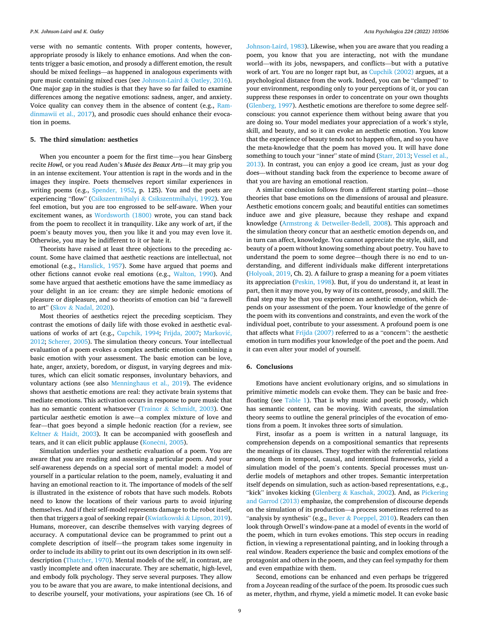verse with no semantic contents. With proper contents, however, appropriate prosody is likely to enhance emotions. And when the contents trigger a basic emotion, and prosody a different emotion, the result should be mixed feelings—as happened in analogous experiments with pure music containing mixed cues (see [Johnson-Laird](#page-10-0) & Oatley, 2016). One major gap in the studies is that they have so far failed to examine differences among the negative emotions: sadness, anger, and anxiety. Voice quality can convey them in the absence of content (e.g., [Ram](#page-10-0)[dinmawii et al., 2017](#page-10-0)), and prosodic cues should enhance their evocation in poems.

#### **5. The third simulation: aesthetics**

When you encounter a poem for the first time—you hear Ginsberg recite *Howl*, or you read Auden's *Musée des Beaux Arts*—it may grip you in an intense excitement. Your attention is rapt in the words and in the images they inspire. Poets themselves report similar experiences in writing poems (e.g., [Spender, 1952](#page-11-0), p. 125). You and the poets are experiencing "flow" (Csikszentmihalyi & [Csikszentmihalyi, 1992\)](#page-9-0). You feel emotion, but you are too engrossed to be self-aware. When your excitement wanes, as [Wordsworth \(1800\)](#page-11-0) wrote, you can stand back from the poem to recollect it in tranquility. Like any work of art, if the poem's beauty moves you, then you like it and you may even love it. Otherwise, you may be indifferent to it or hate it.

Theorists have raised at least three objections to the preceding account. Some have claimed that aesthetic reactions are intellectual, not emotional (e.g., [Hanslick, 1957](#page-10-0)). Some have argued that poems and other fictions cannot evoke real emotions (e.g., [Walton, 1990](#page-11-0)). And some have argued that aesthetic emotions have the same immediacy as your delight in an ice cream: they are simple hedonic emotions of pleasure or displeasure, and so theorists of emotion can bid "a farewell to art" (Skov & [Nadal, 2020](#page-11-0)).

Most theories of aesthetics reject the preceding scepticism. They contrast the emotions of daily life with those evoked in aesthetic eval-uations of works of art (e.g., [Cupchik, 1994](#page-9-0); [Frijda, 2007;](#page-10-0) [Markovi](#page-10-0)ć, [2012;](#page-10-0) [Scherer, 2005](#page-11-0)). The simulation theory concurs. Your intellectual evaluation of a poem evokes a complex aesthetic emotion combining a basic emotion with your assessment. The basic emotion can be love, hate, anger, anxiety, boredom, or disgust, in varying degrees and mixtures, which can elicit somatic responses, involuntary behaviors, and voluntary actions (see also [Menninghaus et al., 2019](#page-10-0)). The evidence shows that aesthetic emotions are real: they activate brain systems that mediate emotions. This activation occurs in response to pure music that has no semantic content whatsoever (Trainor & [Schmidt, 2003](#page-11-0)). One particular aesthetic emotion is awe—a complex mixture of love and fear—that goes beyond a simple hedonic reaction (for a review, see Keltner  $&$  [Haidt, 2003](#page-10-0)). It can be accompanied with gooseflesh and tears, and it can elicit public applause (Konečni, 2005).

Simulation underlies your aesthetic evaluation of a poem. You are aware that *you* are reading and assessing a particular poem. And your self-awareness depends on a special sort of mental model: a model of yourself in a particular relation to the poem, namely, evaluating it and having an emotional reaction to it. The importance of models of the self is illustrated in the existence of robots that have such models. Robots need to know the locations of their various parts to avoid injuring themselves. And if their self-model represents damage to the robot itself, then that triggers a goal of seeking repair ([Kwiatkowski](#page-10-0) & Lipson, 2019). Humans, moreover, can describe themselves with varying degrees of accuracy. A computational device can be programmed to print out a complete description of itself—the program takes some ingenuity in order to include its ability to print out its own description in its own selfdescription [\(Thatcher, 1970\)](#page-11-0). Mental models of the self, in contrast, are vastly incomplete and often inaccurate. They are schematic, high-level, and embody folk psychology. They serve several purposes. They allow you to be aware that you are aware, to make intentional decisions, and to describe yourself, your motivations, your aspirations (see Ch. 16 of

[Johnson-Laird, 1983\)](#page-10-0). Likewise, when you are aware that you reading a poem, you know that you are interacting, not with the mundane world—with its jobs, newspapers, and conflicts—but with a putative work of art. You are no longer rapt but, as [Cupchik \(2002\)](#page-9-0) argues, at a psychological distance from the work. Indeed, you can be "clamped" to your environment, responding only to your perceptions of it, or you can suppress these responses in order to concentrate on your own thoughts ([Glenberg, 1997\)](#page-10-0). Aesthetic emotions are therefore to some degree selfconscious: you cannot experience them without being aware that you are doing so. Your model mediates your appreciation of a work's style, skill, and beauty, and so it can evoke an aesthetic emotion. You know that the experience of beauty tends not to happen often, and so you have the meta-knowledge that the poem has moved you. It will have done something to touch your "inner" state of mind [\(Starr, 2013; Vessel et al.,](#page-11-0)  [2013\)](#page-11-0). In contrast, you can enjoy a good ice cream, just as your dog does—without standing back from the experience to become aware of that you are having an emotional reaction.

A similar conclusion follows from a different starting point—those theories that base emotions on the dimensions of arousal and pleasure. Aesthetic emotions concern goals; and beautiful entities can sometimes induce awe and give pleasure, because they reshape and expand knowledge (Armstrong & [Detweiler-Bedell, 2008](#page-9-0)). This approach and the simulation theory concur that an aesthetic emotion depends on, and in turn can affect, knowledge. You cannot appreciate the style, skill, and beauty of a poem without knowing something about poetry. You have to understand the poem to some degree—though there is no end to understanding, and different individuals make different interpretations ([Holyoak, 2019](#page-10-0), Ch. 2). A failure to grasp a meaning for a poem vitiates its appreciation ([Peskin, 1998](#page-10-0)). But, if you do understand it, at least in part, then it may move you, by way of its content, prosody, and skill. The final step may be that you experience an aesthetic emotion, which depends on your assessment of the poem. Your knowledge of the genre of the poem with its conventions and constraints, and even the work of the individual poet, contribute to your assessment. A profound poem is one that affects what [Frijda \(2007\)](#page-10-0) referred to as a "concern": the aesthetic emotion in turn modifies your knowledge of the poet and the poem. And it can even alter your model of yourself.

#### **6. Conclusions**

Emotions have ancient evolutionary origins, and so simulations in primitive mimetic models can evoke them. They can be basic and freefloating (see [Table 1\)](#page-2-0). That is why music and poetic prosody, which has semantic content, can be moving. With caveats, the simulation theory seems to outline the general principles of the evocation of emotions from a poem. It invokes three sorts of simulation.

First, insofar as a poem is written in a natural language, its comprehension depends on a compositional semantics that represents the meanings of its clauses. They together with the referential relations among them in temporal, causal, and intentional frameworks, yield a simulation model of the poem's contents. Special processes must underlie models of metaphors and other tropes. Semantic interpretation itself depends on simulation, such as action-based representations, e.g., "kick" invokes kicking (Glenberg & [Kaschak, 2002](#page-10-0)). And, as [Pickering](#page-10-0)  [and Garrod \(2013\)](#page-10-0) emphasize, the comprehension of discourse depends on the simulation of its production—a process sometimes referred to as "analysis by synthesis" (e.g., Bever & [Poeppel, 2010\)](#page-9-0). Readers can then look through Orwell's window-pane at a model of events in the world of the poem, which in turn evokes emotions. This step occurs in reading fiction, in viewing a representational painting, and in looking through a real window. Readers experience the basic and complex emotions of the protagonist and others in the poem, and they can feel sympathy for them and even empathize with them.

Second, emotions can be enhanced and even perhaps be triggered from a Joycean reading of the surface of the poem. Its prosodic cues such as meter, rhythm, and rhyme, yield a mimetic model. It can evoke basic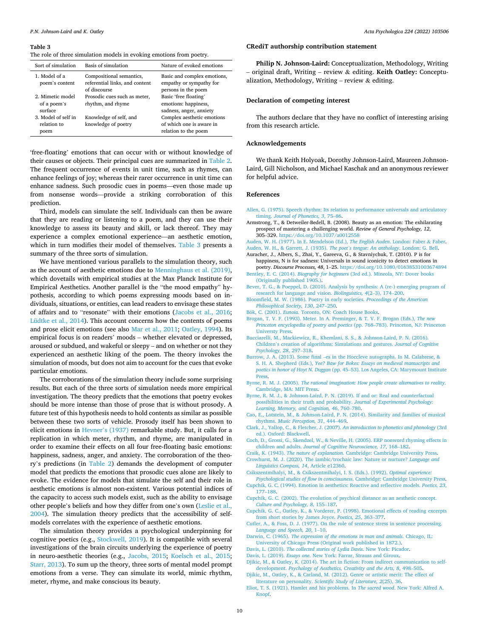#### <span id="page-9-0"></span>**Table 3**

The role of three simulation models in evoking emotions from poetry*.* 

#### **CRediT authorship contribution statement**

**Philip N. Johnson-Laird:** Conceptualization, Methodology, Writing – original draft, Writing – review & editing. **Keith Oatley:** Conceptualization, Methodology, Writing – review & editing.

#### **Declaration of competing interest**

The authors declare that they have no conflict of interesting arising from this research article.

#### **Acknowledgements**

We thank Keith Holyoak, Dorothy Johnson-Laird, Maureen Johnson-Laird, Gill Nicholson, and Michael Kaschak and an anonymous reviewer for helpful advice.

#### **References**

- [Allen, G. \(1975\). Speech rhythm: Its relation to performance universals and articulatory](http://refhub.elsevier.com/S0001-6918(22)00021-X/rf202201142254483453)  timing. *[Journal of Phonetics, 3](http://refhub.elsevier.com/S0001-6918(22)00021-X/rf202201142254483453)*, 75–86.
- Armstrong, T., & Detweiler-Bedell, B. (2008). Beauty as an emotion: The exhilarating prospect of mastering a challenging world. *Review of General Psychology, 12*, 305–329. <https://doi.org/10.1037/a0012558>

[Auden, W. H. \(1977\). In E. Mendelson \(Ed.\),](http://refhub.elsevier.com/S0001-6918(22)00021-X/rf202201142255263274) *The English Auden*. London: Faber & Faber. [Auden, W. H., & Garrett, J. \(1935\).](http://refhub.elsevier.com/S0001-6918(22)00021-X/rf202201142254547336) *The poet's tongue: An anthology*. London: G. Bell.

- Auracher, J., Albers, S., Zhai, Y., Gareeva, G., & Stavniychuk, T. (2010). P is for happiness, N is for sadness: Universals in sound iconicity to detect emotions in
- poetry. *Discourse Processes, 48*, 1–25.<https://doi.org/10.1080/01638531003674894> Bentley, E. C. (2014). *Biography for beginners* [\(3rd ed.\). Mineola, NY: Dover books](http://refhub.elsevier.com/S0001-6918(22)00021-X/rf202201142256074457)
- [\(Originally published 1905.\).](http://refhub.elsevier.com/S0001-6918(22)00021-X/rf202201142256074457) [Bever, T. G., & Poeppel, D. \(2010\). Analysis by synthesis: A \(re-\) emerging program of](http://refhub.elsevier.com/S0001-6918(22)00021-X/rf202201142256100862)  [research for language and vision.](http://refhub.elsevier.com/S0001-6918(22)00021-X/rf202201142256100862) *Biolinguistics, 4*(2–3), 174–200.
- [Bloomfield, M. W. \(1986\). Poetry in early societies.](http://refhub.elsevier.com/S0001-6918(22)00021-X/rf202201142256308985) *Proceedings of the American [Philosophical Society, 130](http://refhub.elsevier.com/S0001-6918(22)00021-X/rf202201142256308985)*, 247–250.
- Bök, C. (2001). *Eunoia*[. Toronto, ON: Coach House Books](http://refhub.elsevier.com/S0001-6918(22)00021-X/rf202201142256435755).
- [Brogan, T. V. F. \(1993\). Meter. In A. Preminger, & T. V. F. Brogan \(Eds.\),](http://refhub.elsevier.com/S0001-6918(22)00021-X/rf202201142243085652) *The new [Princeton encyclopedia of poetry and poetics](http://refhub.elsevier.com/S0001-6918(22)00021-X/rf202201142243085652)* (pp. 768–783). Princeton, NJ: Princeton [Universty Press](http://refhub.elsevier.com/S0001-6918(22)00021-X/rf202201142243085652).
- [Bucciarelli, M., Mackiewicz, R., Khemlani, S. S., & Johnson-Laird, P. N. \(2016\).](http://refhub.elsevier.com/S0001-6918(22)00021-X/rf202201142251449413) Children'[s creation of algorithms: Simulations and gestures.](http://refhub.elsevier.com/S0001-6918(22)00021-X/rf202201142251449413) *Journal of Cognitive [Psychology, 28](http://refhub.elsevier.com/S0001-6918(22)00021-X/rf202201142251449413)*, 297–318.
- Burrow, J. A. (2013). Some final –[es in the Hoccleve autographs. In M. Calabrese, &](http://refhub.elsevier.com/S0001-6918(22)00021-X/rf202201142244442825)  S. H. A. Shepherd (Eds.), *[Yee? Baw for Bokes: Essays on medieval manuscripts and](http://refhub.elsevier.com/S0001-6918(22)00021-X/rf202201142244442825)  poetics in honor of Hoyt N. Duggan* (pp. 45–[53\). Los Angeles, CA: Marymount Institute](http://refhub.elsevier.com/S0001-6918(22)00021-X/rf202201142244442825)  [Press.](http://refhub.elsevier.com/S0001-6918(22)00021-X/rf202201142244442825)
- Byrne, R. M. J. (2005). *[The rational imagination: How people create alternatives to reality](http://refhub.elsevier.com/S0001-6918(22)00021-X/rf202201142256516879)*. [Cambridge, MA: MIT Press.](http://refhub.elsevier.com/S0001-6918(22)00021-X/rf202201142256516879)
- [Byrne, R. M. J., & Johnson-Laird, P. N. \(2019\). If and or: Real and counterfactual](http://refhub.elsevier.com/S0001-6918(22)00021-X/rf202201142257421034)  [possibilities in their truth and probability.](http://refhub.elsevier.com/S0001-6918(22)00021-X/rf202201142257421034) *Journal of Experimental Psychology: [Learning, Memory, and Cognition, 46](http://refhub.elsevier.com/S0001-6918(22)00021-X/rf202201142257421034)*, 760–780.
- [Cao, E., Lotstein, M., & Johnson-Laird, P. N. \(2014\). Similarity and families of musical](http://refhub.elsevier.com/S0001-6918(22)00021-X/rf202201142251456459) rhythms. *[Music Perception, 31](http://refhub.elsevier.com/S0001-6918(22)00021-X/rf202201142251456459)*, 444–469.

[Clark, J., Yallop, C., & Fletcher, J. \(2007\).](http://refhub.elsevier.com/S0001-6918(22)00021-X/rf202201142257488084) *An introduction to phonetics and phonology* (3rd [ed.\). Oxford: Blackwell](http://refhub.elsevier.com/S0001-6918(22)00021-X/rf202201142257488084).

[Coch, D., Grossi, G., Skendzel, W., & Neville, H. \(2005\). ERP nonword rhyming effects in](http://refhub.elsevier.com/S0001-6918(22)00021-X/rf202201142251467407)  children and adults. *[Journal of Cognitive Neuroscience, 17](http://refhub.elsevier.com/S0001-6918(22)00021-X/rf202201142251467407)*, 168–182.

Craik, K. (1943). *The nature of explanation*[. Cambridge: Cambridge University Press](http://refhub.elsevier.com/S0001-6918(22)00021-X/rf202201142257541969).

[Crowhurst, M. J. \(2020\). The iambic/trochaic law: Nature or nurture?](http://refhub.elsevier.com/S0001-6918(22)00021-X/rf202201142257593110) *Language and [Linguistics Compass, 14](http://refhub.elsevier.com/S0001-6918(22)00021-X/rf202201142257593110)*, Article e12360.

[Csikszentmihalyi, M., & Csikszentmihalyi, I. S. \(Eds.\). \(1992\).](http://refhub.elsevier.com/S0001-6918(22)00021-X/rf202201142258082283) *Optimal experience:* 

*[Psychological studies of flow in consciousness](http://refhub.elsevier.com/S0001-6918(22)00021-X/rf202201142258082283)*. Cambridge: Cambridge University Press. [Cupchik, G. C. \(1994\). Emotion in aesthetics: Reactive and reflective models.](http://refhub.elsevier.com/S0001-6918(22)00021-X/rf202201142258143370) *Poetics, 23*, 177–[188](http://refhub.elsevier.com/S0001-6918(22)00021-X/rf202201142258143370).

[Cupchik, G. C. \(2002\). The evolution of psychical distance as an aesthetic concept.](http://refhub.elsevier.com/S0001-6918(22)00021-X/rf202201142258155886) *[Culture and Psychology, 8](http://refhub.elsevier.com/S0001-6918(22)00021-X/rf202201142258155886)*, 155–187.

[Cupchik, G. C., Oatley, K., & Vorderer, P. \(1998\). Emotional effects of reading excerpts](http://refhub.elsevier.com/S0001-6918(22)00021-X/rf202201142251470869)  [from short stories by James Joyce.](http://refhub.elsevier.com/S0001-6918(22)00021-X/rf202201142251470869) *Poetics, 25*, 363–377.

[Cutler, A., & Foss, D. J. \(1977\). On the role of sentence stress in sentence processing.](http://refhub.elsevier.com/S0001-6918(22)00021-X/rf202201142251472395) *[Language and Speech, 20](http://refhub.elsevier.com/S0001-6918(22)00021-X/rf202201142251472395)*, 1–10.

- Darwin, C. (1965). *[The expression of the emotions in man and animals](http://refhub.elsevier.com/S0001-6918(22)00021-X/rf202201142258222926)*. Chicago, IL: [University of Chicago Press \(Original work published in 1872.\).](http://refhub.elsevier.com/S0001-6918(22)00021-X/rf202201142258222926)
- Davis, L. (2010). *[The collected stories of Lydia Davis](http://refhub.elsevier.com/S0001-6918(22)00021-X/rf202201142258279147)*. New York: Picador.

Davis, L. (2019). *Essays one*[. New York: Farrar, Strauss and Giroux](http://refhub.elsevier.com/S0001-6918(22)00021-X/rf202201142258369407).

[Djikic, M., & Oatley, K. \(2014\). The art in fiction: From indirect communication to self](http://refhub.elsevier.com/S0001-6918(22)00021-X/rf202201142251477911)development. *[Psychology of Aesthetics, Creativity and the Arts, 8](http://refhub.elsevier.com/S0001-6918(22)00021-X/rf202201142251477911)*, 498–505. [Djikic, M., Oatley, K., & Carland, M. \(2012\). Genre or artistic merit: The effect of](http://refhub.elsevier.com/S0001-6918(22)00021-X/rf202201142258413048)

literature on personality. *[Scientific Study of Literature, 2](http://refhub.elsevier.com/S0001-6918(22)00021-X/rf202201142258413048)*(25), 36.

[Eliot, T. S. \(1921\). Hamlet and his problems. In](http://refhub.elsevier.com/S0001-6918(22)00021-X/rf202201142258580547) *The sacred wood*. New York: Alfred A. [Knopf](http://refhub.elsevier.com/S0001-6918(22)00021-X/rf202201142258580547).

| Sort of simulation                         | Basis of simulation                                                        | Nature of evoked emotions                                                      |
|--------------------------------------------|----------------------------------------------------------------------------|--------------------------------------------------------------------------------|
| 1. Model of a<br>poem's content            | Compositional semantics,<br>referential links, and content<br>of discourse | Basic and complex emotions,<br>empathy or sympathy for<br>persons in the poem  |
| 2. Mimetic model<br>of a poem's<br>surface | Prosodic cues such as meter,<br>rhythm, and rhyme                          | Basic 'free floating'<br>emotions: happiness,<br>sadness, anger, anxiety       |
| 3. Model of self in<br>relation to<br>poem | Knowledge of self, and<br>knowledge of poetry                              | Complex aesthetic emotions<br>of which one is aware in<br>relation to the poem |

'free-floating' emotions that can occur with or without knowledge of their causes or objects. Their principal cues are summarized in [Table 2](#page-6-0). The frequent occurrence of events in unit time, such as rhymes, can enhance feelings of joy; whereas their rarer occurrence in unit time can enhance sadness. Such prosodic cues in poems—even those made up from nonsense words—provide a striking corroboration of this prediction.

Third, models can simulate the self. Individuals can then be aware that they are reading or listening to a poem, and they can use their knowledge to assess its beauty and skill, or lack thereof. They may experience a complex emotional experience—an aesthetic emotion, which in turn modifies their model of themselves. Table 3 presents a summary of the three sorts of simulation.

We have mentioned various parallels to the simulation theory, such as the account of aesthetic emotions due to [Menninghaus et al. \(2019\)](#page-10-0), which dovetails with empirical studies at the Max Planck Institute for Empirical Aesthetics. Another parallel is the "the mood empathy" hypothesis, according to which poems expressing moods based on individuals, situations, or entities, can lead readers to envisage these states of affairs and to "resonate" with their emotions ([Jacobs et al., 2016](#page-10-0); [Lüdtke et al., 2014\)](#page-10-0). This account concerns how the contents of poems and prose elicit emotions (see also [Mar et al., 2011](#page-10-0); [Oatley, 1994](#page-10-0)). Its empirical focus is on readers' moods – whether elevated or depressed, aroused or subdued, and wakeful or sleepy – and on whether or not they experienced an aesthetic liking of the poem. The theory invokes the simulation of moods, but does not aim to account for the cues that evoke particular emotions.

The corroborations of the simulation theory include some surprising results. But each of the three sorts of simulation needs more empirical investigation. The theory predicts that the emotions that poetry evokes should be more intense than those of prose that is without prosody. A future test of this hypothesis needs to hold contents as similar as possible between these two sorts of vehicle. Prosody itself has been shown to elicit emotions in Hevner'[s \(1937\)](#page-10-0) remarkable study. But, it calls for a replication in which meter, rhythm, and rhyme, are manipulated in order to examine their effects on all four free-floating basic emotions: happiness, sadness, anger, and anxiety. The corroboration of the theory's predictions (in [Table 2\)](#page-6-0) demands the development of computer model that predicts the emotions that prosodic cues alone are likely to evoke. The evidence for models that simulate the self and their role in aesthetic emotions is almost non-existent. Various potential indices of the capacity to access such models exist, such as the ability to envisage other people's beliefs and how they differ from one's own ([Leslie et al.,](#page-10-0)  [2004\)](#page-10-0). The simulation theory predicts that the accessibility of selfmodels correlates with the experience of aesthetic emotions.

The simulation theory provides a psychological underpinning for cognitive poetics (e.g., [Stockwell, 2019](#page-11-0)). It is compatible with several investigations of the brain circuits underlying the experience of poetry in neuro-aesthetic theories (e.g., [Jacobs, 2015;](#page-10-0) [Koelsch et al., 2015](#page-10-0); [Starr, 2013](#page-11-0)). To sum up the theory, three sorts of mental model prompt emotions from a verse. They can simulate its world, mimic rhythm, meter, rhyme, and make conscious its beauty.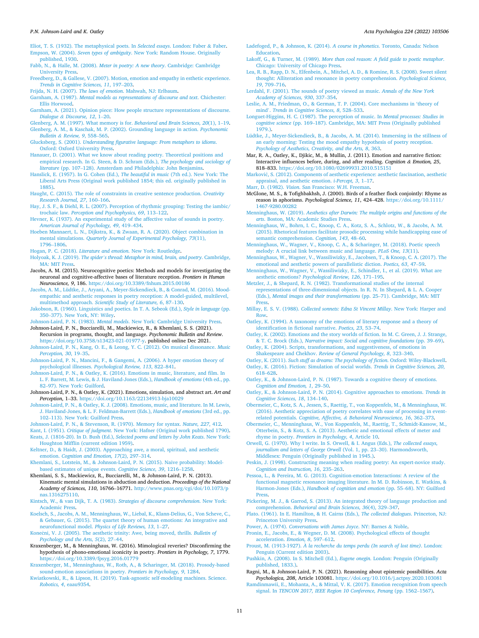- <span id="page-10-0"></span>[Eliot, T. S. \(1932\). The metaphysical poets. In](http://refhub.elsevier.com/S0001-6918(22)00021-X/rf202201142259131016) *Selected essays*. London: Faber & Faber. Empson, W. (2004). *Seven types of ambiguity*[. New York: Random House. Originally](http://refhub.elsevier.com/S0001-6918(22)00021-X/rf202201142245062246) [published, 1930](http://refhub.elsevier.com/S0001-6918(22)00021-X/rf202201142245062246).
- [Fabb, N., & Halle, M. \(2008\).](http://refhub.elsevier.com/S0001-6918(22)00021-X/rf202201142259192416) *Meter in poetry: A new theory*. Cambridge: Cambridge [University Press](http://refhub.elsevier.com/S0001-6918(22)00021-X/rf202201142259192416).
- [Freedberg, D., & Gallese, V. \(2007\). Motion, emotion and empathy in esthetic experience.](http://refhub.elsevier.com/S0001-6918(22)00021-X/rf202201142251481008)  *[Trends in Cognitive Sciences, 11](http://refhub.elsevier.com/S0001-6918(22)00021-X/rf202201142251481008)*, 197–203.
- Frijda, N. H. (2007). *The laws of emotion*[. Mahwah, NJ: Erlbaum.](http://refhub.elsevier.com/S0001-6918(22)00021-X/rf202201142259252578)
- Garnham, A. (1987). *[Mental models as representations of discourse and text](http://refhub.elsevier.com/S0001-6918(22)00021-X/rf202201142259317565)*. Chichester: [Ellis Horwood.](http://refhub.elsevier.com/S0001-6918(22)00021-X/rf202201142259317565)
- [Garnham, A. \(2021\). Opinion piece: How people structure representations of discourse.](http://refhub.elsevier.com/S0001-6918(22)00021-X/rf202201142251506771)  *Dialogue & [Discourse, 12](http://refhub.elsevier.com/S0001-6918(22)00021-X/rf202201142251506771)*, 1–20.
- [Glenberg, A. M. \(1997\). What memory is for.](http://refhub.elsevier.com/S0001-6918(22)00021-X/rf202201142251516119) *Behavioral and Brain Sciences, 20*(1), 1–19. [Glenberg, A. M., & Kaschak, M. P. \(2002\). Grounding language in action.](http://refhub.elsevier.com/S0001-6918(22)00021-X/rf202201142251516765) *Psychonomic*
- *Bulletin & [Review, 9](http://refhub.elsevier.com/S0001-6918(22)00021-X/rf202201142251516765)*, 558–565. Glucksberg, S. (2001). *[Understanding figurative language: From metaphors to idioms](http://refhub.elsevier.com/S0001-6918(22)00021-X/rf202201142259375690)*. [Oxford: Oxford University Press](http://refhub.elsevier.com/S0001-6918(22)00021-X/rf202201142259375690).
- [Hanauer, D. \(2001\). What we know about reading poetry. Theoretical positions and](http://refhub.elsevier.com/S0001-6918(22)00021-X/rf202201142300075804)  [empirical research. In G. Steen, & D. Schram \(Eds.\),](http://refhub.elsevier.com/S0001-6918(22)00021-X/rf202201142300075804) *The psychology and sociology of literature* (pp. 107–[128\). Amsterdam and Philadelphia: John Benjamins.](http://refhub.elsevier.com/S0001-6918(22)00021-X/rf202201142300075804)
- [Hanslick, E. \(1957\). In G. Cohen \(Ed.\),](http://refhub.elsevier.com/S0001-6918(22)00021-X/rf202201142300368024) *The beautiful in music* (7th ed.). New York: The [Liberal Arts Press \(Original work published 1854; this ed. originally published in](http://refhub.elsevier.com/S0001-6918(22)00021-X/rf202201142300368024)  [1885\)](http://refhub.elsevier.com/S0001-6918(22)00021-X/rf202201142300368024).
- [Haught, C. \(2015\). The role of constraints in creative sentence production.](http://refhub.elsevier.com/S0001-6918(22)00021-X/rf202201142251520828) *Creativity [Research Journal, 27](http://refhub.elsevier.com/S0001-6918(22)00021-X/rf202201142251520828)*, 160–166.
- [Hay, J. S. F., & Diehl, R. L. \(2007\). Perception of rhythmic grouping: Testing the iambic/](http://refhub.elsevier.com/S0001-6918(22)00021-X/rf202201142300400517)  trochaic law. *[Perception and Psychophysics, 69](http://refhub.elsevier.com/S0001-6918(22)00021-X/rf202201142300400517)*, 113–122.
- [Hevner, K. \(1937\). An experimental study of the affective value of sounds in poetry.](http://refhub.elsevier.com/S0001-6918(22)00021-X/rf202201142300427396)  *[American Journal of Psychology, 49](http://refhub.elsevier.com/S0001-6918(22)00021-X/rf202201142300427396)*, 419–434.
- [Hoeben Mannaert, L. N., Dijkstra, K., & Zwaan, R. A. \(2020\). Object combination in](http://refhub.elsevier.com/S0001-6918(22)00021-X/rf202201142251528161)  mental simulations. *[Quarterly Journal of Experimental Psychology, 73](http://refhub.elsevier.com/S0001-6918(22)00021-X/rf202201142251528161)*(11), [1796](http://refhub.elsevier.com/S0001-6918(22)00021-X/rf202201142251528161)–1806.
- Hogan, P. C. (2018). *Literature and emotion*[. New York: Routledge](http://refhub.elsevier.com/S0001-6918(22)00021-X/rf202201142300481462).
- Holyoak, K. J. (2019). *The spider'[s thread: Metaphor in mind, brain, and poetry](http://refhub.elsevier.com/S0001-6918(22)00021-X/rf202201142301064226)*. Cambridge, [MA: MIT Press](http://refhub.elsevier.com/S0001-6918(22)00021-X/rf202201142301064226).
- Jacobs, A. M. (2015). Neurocognitive poetics: Methods and models for investigating the neuronal and cognitive-affective bases of literature reception. *Frontiers in Human Neuroscience, 9*, 186.<https://doi.org/10.3389/fnhum.2015.00186>
- [Jacobs, A. M., Lüdtke, J., Aryani, A., Meyer-Sickendieck, B., & Conrad, M. \(2016\). Mood](http://refhub.elsevier.com/S0001-6918(22)00021-X/rf202201142251579551)[empathic and aesthetic responses in poetry reception: A model-guided, multilevel,](http://refhub.elsevier.com/S0001-6918(22)00021-X/rf202201142251579551) multimethod approach. *[Scientific Study of Literature, 6](http://refhub.elsevier.com/S0001-6918(22)00021-X/rf202201142251579551)*, 87–130.
- [Jakobson, R. \(1960\). Linguistics and poetics. In T. A. Sebeok \(Ed.\),](http://refhub.elsevier.com/S0001-6918(22)00021-X/rf202201142301178017) *Style in language* (pp. 350–[377\). New York, NY: Wiley](http://refhub.elsevier.com/S0001-6918(22)00021-X/rf202201142301178017).
- Johnson-Laird, P. N. (1983). *Mental models*[. New York: Cambridge University Press](http://refhub.elsevier.com/S0001-6918(22)00021-X/rf202201142301239370).
- Johnson-Laird, P. N., Bucciarelli, M., Mackiewicz, R., & Khemlani, S. S. (2021). Recursion in programs, thought, and language. *Psychonomic Bulletin and Review*. <https://doi.org/10.3758/s13423-021-01977-y>. published online Dec 2021.
- [Johnson-Laird, P. N., Kang, O. E., & Leong, Y. C. \(2012\). On musical dissonance.](http://refhub.elsevier.com/S0001-6918(22)00021-X/rf202201142252056907) *Music [Perception, 30](http://refhub.elsevier.com/S0001-6918(22)00021-X/rf202201142252056907)*, 19–35.
- [Johnson-Laird, P. N., Mancini, F., & Gangemi, A. \(2006\). A hyper emotion theory of](http://refhub.elsevier.com/S0001-6918(22)00021-X/rf202201142252098263) psychological illnesses. *[Psychological Review, 113](http://refhub.elsevier.com/S0001-6918(22)00021-X/rf202201142252098263)*, 822–841.
- [Johnson-Laird, P. N., & Oatley, K. \(2016\). Emotions in music, literature, and film. In](http://refhub.elsevier.com/S0001-6918(22)00021-X/rf202201142301290197)  [L. F. Barrett, M. Lewis, & J. Haviland-Jones \(Eds.\),](http://refhub.elsevier.com/S0001-6918(22)00021-X/rf202201142301290197) *Handbook of emotions* (4th ed., pp. 82–[97\). New York: Guilford](http://refhub.elsevier.com/S0001-6918(22)00021-X/rf202201142301290197).
- Johnson-Laird, P. N., & Oatley, K. (2021). Emotions, simulation, and abstract art. *Art and Perception*, 1–33. <https://doi.org/10.1163/22134913-bja10029>
- [Johnson-Laird, P. N., & Oatley, K. J. \(2008\). Emotions, music, and literature. In M. Lewis,](http://refhub.elsevier.com/S0001-6918(22)00021-X/rf202201142245438583)  [J. Haviland-Jones, & L. F. Feldman-Barrett \(Eds.\),](http://refhub.elsevier.com/S0001-6918(22)00021-X/rf202201142245438583) *Handbook of emotions* (3rd ed., pp. 102–[113\). New York: Guilford Press.](http://refhub.elsevier.com/S0001-6918(22)00021-X/rf202201142245438583)
- [Johnson-Laird, P. N., & Stevenson, R. \(1970\). Memory for syntax.](http://refhub.elsevier.com/S0001-6918(22)00021-X/rf202201142252106156) *Nature, 227*, 412.
- Kant, I. (1951). *Critique of judgment*[. New York: Hafner \(Original work published 1790\).](http://refhub.elsevier.com/S0001-6918(22)00021-X/rf202201142302012214) Keats, J. (1816-20). In D. Bush (Ed.), *[Selected poems and letters by John Keats](http://refhub.elsevier.com/S0001-6918(22)00021-X/rf202201142246384502)*. New York:
- [Houghton Mifflin \(current edition 1959\).](http://refhub.elsevier.com/S0001-6918(22)00021-X/rf202201142246384502) [Keltner, D., & Haidt, J. \(2003\). Approaching awe, a moral, spiritual, and aesthetic](http://refhub.elsevier.com/S0001-6918(22)00021-X/rf202201142252129927)
- emotion. *[Cognition and Emotion, 17](http://refhub.elsevier.com/S0001-6918(22)00021-X/rf202201142252129927)*(2), 297–314. [Khemlani, S., Lotstein, M., & Johnson-Laird, P. N. \(2015\). Naive probability: Model-](http://refhub.elsevier.com/S0001-6918(22)00021-X/rf202201142306404190)
- [based estimates of unique events.](http://refhub.elsevier.com/S0001-6918(22)00021-X/rf202201142306404190) *Cognitive Science, 39*, 1216–1258. Khemlani, S. S., Mackiewicz, R., Bucciarelli, M., & Johnson-Laird, P. N. (2013). Kinematic mental simulations in abduction and deduction. *Proceedings of the National*
- *Academy of Sciences, 110*, 16766–16771. [http://www.pnas.org/cgi/doi/10.1073/p](http://www.pnas.org/cgi/doi/10.1073/pnas.1316275110) [nas.1316275110.](http://www.pnas.org/cgi/doi/10.1073/pnas.1316275110)
- [Kintsch, W., & van Dijk, T. A. \(1983\).](http://refhub.elsevier.com/S0001-6918(22)00021-X/rf202201142306551631) *Strategies of discourse comprehension*. New York: [Academic Press.](http://refhub.elsevier.com/S0001-6918(22)00021-X/rf202201142306551631)
- [Koelsch, S., Jacobs, A. M., Menninghaus, W., Liebal, K., Klann-Delius, G., Von Scheve, C.,](http://refhub.elsevier.com/S0001-6918(22)00021-X/rf202201142252145981)  [& Gebauer, G. \(2015\). The quartet theory of human emotions: An integrative and](http://refhub.elsevier.com/S0001-6918(22)00021-X/rf202201142252145981)  neurofunctional model. *[Physics of Life Reviews, 13](http://refhub.elsevier.com/S0001-6918(22)00021-X/rf202201142252145981)*, 1–27.

Konečni, V. J. (2005). The aesthetic trinity: Awe, being moved, thrills. *Bulletin of [Psychology and the Arts, 5](http://refhub.elsevier.com/S0001-6918(22)00021-X/rf202201142306553564)*(2), 27–44.

- Kraxenberger, M., & Menninghaus, W. (2016). Mimological reveries? Disconfirming the hypothesis of phono-emotional iconicity in poetry. *Frontiers in Psychology, 7*, 1779. <https://doi.org/10.3389/fpsyg.2016.01779>
- [Kraxenberger, M., Menninghaus, W., Roth, A., & Scharinger, M. \(2018\). Prosody-based](http://refhub.elsevier.com/S0001-6918(22)00021-X/rf202201142306558718) [sound-emotion associations in poetry.](http://refhub.elsevier.com/S0001-6918(22)00021-X/rf202201142306558718) *Frontiers in Psychology, 9*, 1284.
- [Kwiatkowski, R., & Lipson, H. \(2019\). Task-agnostic self-modeling machines. Science.](http://refhub.elsevier.com/S0001-6918(22)00021-X/rf202201142307099415) *Robotics, 4*[, eaau9354.](http://refhub.elsevier.com/S0001-6918(22)00021-X/rf202201142307099415)
- [Ladefoged, P., & Johnson, K. \(2014\).](http://refhub.elsevier.com/S0001-6918(22)00021-X/rf202201142307100196) *A course in phonetics*. Toronto, Canada: Nelson [Education.](http://refhub.elsevier.com/S0001-6918(22)00021-X/rf202201142307100196)
- Lakoff, G., & Turner, M. (1989). *[More than cool reason: A field guide to poetic metaphor](http://refhub.elsevier.com/S0001-6918(22)00021-X/rf202201142307102310)*. [Chicago: University of Chicago Press](http://refhub.elsevier.com/S0001-6918(22)00021-X/rf202201142307102310).
- [Lea, R. B., Rapp, D. N., Elfenbein, A., Mitchel, A. D., & Romine, R. S. \(2008\). Sweet silent](http://refhub.elsevier.com/S0001-6918(22)00021-X/rf202201142252160815)  [thought: Alliteration and resonance in poetry comprehension.](http://refhub.elsevier.com/S0001-6918(22)00021-X/rf202201142252160815) *Psychological Science, 19*[, 709](http://refhub.elsevier.com/S0001-6918(22)00021-X/rf202201142252160815)–716.
- [Lerdahl, F. \(2001\). The sounds of poetry viewed as music.](http://refhub.elsevier.com/S0001-6918(22)00021-X/rf202201142252168313) *Annals of the New York [Academy of Sciences, 930](http://refhub.elsevier.com/S0001-6918(22)00021-X/rf202201142252168313)*, 337–354.
- [Leslie, A. M., Friedman, O., & German, T. P. \(2004\). Core mechanisms in 'theory of](http://refhub.elsevier.com/S0001-6918(22)00021-X/rf202201142252176417) mind'. *[Trends in Cognitive Sciences, 8](http://refhub.elsevier.com/S0001-6918(22)00021-X/rf202201142252176417)*, 528–533.
- [Longuet-Higgins, H. C. \(1987\). The perception of music. In](http://refhub.elsevier.com/S0001-6918(22)00021-X/rf202201142307102935) *Mental processes: Studies in cognitive science* (pp. 169–[187\). Cambridge, MA: MIT Press \(Originally published](http://refhub.elsevier.com/S0001-6918(22)00021-X/rf202201142307102935)  [1979.\)](http://refhub.elsevier.com/S0001-6918(22)00021-X/rf202201142307102935).
- [Lüdtke, J., Meyer-Sickendieck, B., & Jacobs, A. M. \(2014\). Immersing in the stillness of](http://refhub.elsevier.com/S0001-6918(22)00021-X/rf202201142252183434)  [an early morning: Testing the mood empathy hypothesis of poetry reception.](http://refhub.elsevier.com/S0001-6918(22)00021-X/rf202201142252183434)  *[Psychology of Aesthetics, Creativity, and the Arts, 8](http://refhub.elsevier.com/S0001-6918(22)00021-X/rf202201142252183434)*, 363.
- Mar, R. A., Oatley, K., Djikic, M., & Mullin, J. (2011). Emotion and narrative fiction: Interactive influences before, during, and after reading. *Cognition & Emotion, 25*, 818–833. <https://doi.org/10.1080/02699931.2010.515151>
- Marković, S. (2012). Components of aesthetic experience: aesthetic fascination, aesthetic [appraisal, and aesthetic emotion.](http://refhub.elsevier.com/S0001-6918(22)00021-X/rf202201142307244234) *i-Percept, 3*, 1–17.
- Marr, D. (1982). *Vision*[. San Francisco: W.H. Freeman.](http://refhub.elsevier.com/S0001-6918(22)00021-X/rf202201142307295110)
- McGlone, M. S., & Tofighbakhsh, J. (2000). Birds of a feather flock conjointly: Rhyme as reason in aphorisms. *Psychological Science, 11*, 424–428. [https://doi.org/10.1111/](https://doi.org/10.1111/1467-9280.00282) [1467-9280.00282](https://doi.org/10.1111/1467-9280.00282)
- Menninghaus, W. (2019). *[Aesthetics after Darwin: The multiple origins and functions of the](http://refhub.elsevier.com/S0001-6918(22)00021-X/rf202201142323287781)  arts*[. Boston, MA: Academic Studies Press.](http://refhub.elsevier.com/S0001-6918(22)00021-X/rf202201142323287781)
- [Menninghaus, W., Bohrn, I. C., Knoop, C. A., Kotz, S. A., Schlotz, W., & Jacobs, A. M.](http://refhub.elsevier.com/S0001-6918(22)00021-X/rf202201142252195345) [\(2015\). Rhetorical features facilitate prosodic processing while handicapping ease of](http://refhub.elsevier.com/S0001-6918(22)00021-X/rf202201142252195345)  [semantic comprehension.](http://refhub.elsevier.com/S0001-6918(22)00021-X/rf202201142252195345) *Cognition, 143*, 48–60.
- [Menninghaus, W., Wagner, V., Knoop, C. A., & Scharinger, M. \(2018\). Poetic speech](http://refhub.elsevier.com/S0001-6918(22)00021-X/rf202201142323353347) [melody: A crucial link between music and language.](http://refhub.elsevier.com/S0001-6918(22)00021-X/rf202201142323353347) *PLoS One, 13*(11).
- [Menninghaus, W., Wagner, V., Wassiliwizky, E., Jacobsen, T., & Knoop, C. A. \(2017\). The](http://refhub.elsevier.com/S0001-6918(22)00021-X/rf202201142252205196)  [emotional and aesthetic powers of parallelistic diction.](http://refhub.elsevier.com/S0001-6918(22)00021-X/rf202201142252205196) *Poetics, 63*, 47–59.
- [Menninghaus, W., Wagner, V., Wassiliwizky, E., Schindler, I., et al. \(2019\). What are](http://refhub.elsevier.com/S0001-6918(22)00021-X/rf202201142252205352) aesthetic emotions? *[Psychological Review, 126](http://refhub.elsevier.com/S0001-6918(22)00021-X/rf202201142252205352)*, 171–195.

[Metzler, J., & Shepard, R. N. \(1982\). Transformational studies of the internal](http://refhub.elsevier.com/S0001-6918(22)00021-X/rf202201142323391097) [representations of three-dimensional objects. In R. N. In Shepard, & L. A. Cooper](http://refhub.elsevier.com/S0001-6918(22)00021-X/rf202201142323391097)  (Eds.), *[Mental images and their transformations](http://refhub.elsevier.com/S0001-6918(22)00021-X/rf202201142323391097)* (pp. 25–71). Cambridge, MA: MIT [Press.](http://refhub.elsevier.com/S0001-6918(22)00021-X/rf202201142323391097)

- Millay, E. S. V. (1988). *[Collected sonnets: Edna St Vincent Millay](http://refhub.elsevier.com/S0001-6918(22)00021-X/rf202201142247151990)*. New York: Harper and [Row](http://refhub.elsevier.com/S0001-6918(22)00021-X/rf202201142247151990).
- [Oatley, K. \(1994\). A taxonomy of the emotions of literary response and a theory of](http://refhub.elsevier.com/S0001-6918(22)00021-X/rf202201142323405580) [identification in fictional narrative.](http://refhub.elsevier.com/S0001-6918(22)00021-X/rf202201142323405580) *Poetics, 23*, 53–74.
- [Oatley, K. \(2002\). Emotions and the story worlds of fiction. In M. C. Green, J. J. Strange,](http://refhub.elsevier.com/S0001-6918(22)00021-X/rf202201142247443557)  & T. C. Brock (Eds.), *[Narrative impact: Social and cognitive foundations](http://refhub.elsevier.com/S0001-6918(22)00021-X/rf202201142247443557)* (pp. 39–69). [Oatley, K. \(2004\). Scripts, transformations, and suggestiveness, of emotions in](http://refhub.elsevier.com/S0001-6918(22)00021-X/rf2005)
- Shakespeare and Chekhov. *[Review of General Psychology, 8](http://refhub.elsevier.com/S0001-6918(22)00021-X/rf2005)*, 323–340.
- Oatley, K. (2011). *[Such stuff as dreams: The psychology of fiction](http://refhub.elsevier.com/S0001-6918(22)00021-X/rf202201142323465461)*. Oxford: Wiley-Blackwell. [Oatley, K. \(2016\). Fiction: Simulation of social worlds.](http://refhub.elsevier.com/S0001-6918(22)00021-X/rf202201142252211173) *Trends in Cognitive Sciences, 20*,
- 618–[628](http://refhub.elsevier.com/S0001-6918(22)00021-X/rf202201142252211173). [Oatley, K., & Johnson-Laird, P. N. \(1987\). Towards a cognitive theory of emotions.](http://refhub.elsevier.com/S0001-6918(22)00021-X/rf202201142252214256)  *[Cognition and Emotion, 1](http://refhub.elsevier.com/S0001-6918(22)00021-X/rf202201142252214256)*, 29–50.
- [Oatley, K., & Johnson-Laird, P. N. \(2014\). Cognitive approaches to emotions.](http://refhub.elsevier.com/S0001-6918(22)00021-X/rf202201142252216600) *Trends in [Cognitive Sciences, 18](http://refhub.elsevier.com/S0001-6918(22)00021-X/rf202201142252216600)*, 134–140.
- [Obermeier, C., Kotz, S. A., Jessen, S., Raettig, T., von Koppenfels, M., & Menninghaus, W.](http://refhub.elsevier.com/S0001-6918(22)00021-X/rf202201142252219833)  [\(2016\). Aesthetic appreciation of poetry correlates with ease of processing in event](http://refhub.elsevier.com/S0001-6918(22)00021-X/rf202201142252219833)related potentials. *Cognitive, Affective, & [Behavioral Neuroscience, 16](http://refhub.elsevier.com/S0001-6918(22)00021-X/rf202201142252219833)*, 362–373.
- [Obermeier, C., Menninghaus, W., Von Koppenfels, M., Raettig, T., Schmidt-Kassow, M.,](http://refhub.elsevier.com/S0001-6918(22)00021-X/rf202201142323478431)  [Otterbein, S., & Kotz, S. A. \(2013\). Aesthetic and emotional effects of meter and](http://refhub.elsevier.com/S0001-6918(22)00021-X/rf202201142323478431)  rhyme in poetry. *[Frontiers in Psychology, 4](http://refhub.elsevier.com/S0001-6918(22)00021-X/rf202201142323478431)*, Article 10.
- [Orwell, G. \(1970\). Why I write. In S. Orwell, & I. Angus \(Eds.\),](http://refhub.elsevier.com/S0001-6918(22)00021-X/rf202201142324043016) *The collected essays, journalism and letters of George Orwell* (Vol. 1, pp. 23-30). Harmondsworth, [Middlesex: Penguin \(Originally published in 1945.\).](http://refhub.elsevier.com/S0001-6918(22)00021-X/rf202201142324043016)
- [Peskin, J. \(1998\). Constructing meaning when reading poetry: An expert-novice study.](http://refhub.elsevier.com/S0001-6918(22)00021-X/rf202201142252227307)  *[Cognition and Instruction, 16](http://refhub.elsevier.com/S0001-6918(22)00021-X/rf202201142252227307)*, 235–263.
- [Pessoa, L., & Pereira, M. G. \(2013\). Cognition-emotion Interactions: A review of the](http://refhub.elsevier.com/S0001-6918(22)00021-X/rf202201142248422832) [functional magnetic resonance imaging literature. In M. D. Robinson, E. Watkins, &](http://refhub.elsevier.com/S0001-6918(22)00021-X/rf202201142248422832)  Harmon-Jones (Eds.), *[Handbook of cognition and emotion](http://refhub.elsevier.com/S0001-6918(22)00021-X/rf202201142248422832)* (pp. 55–68). NY: Guilford [Press.](http://refhub.elsevier.com/S0001-6918(22)00021-X/rf202201142248422832)
- [Pickering, M. J., & Garrod, S. \(2013\). An integrated theory of language production and](http://refhub.elsevier.com/S0001-6918(22)00021-X/rf202201142252233489)  comprehension. *[Behavioral and Brain Sciences, 36](http://refhub.elsevier.com/S0001-6918(22)00021-X/rf202201142252233489)*(4), 329–347.
- [Plato. \(1961\). In E. Hamilton, & H. Cairns \(Eds.\),](http://refhub.elsevier.com/S0001-6918(22)00021-X/rf202201142248492381) *The collected dialogues*. Princeton, NJ: [Princeton University Press](http://refhub.elsevier.com/S0001-6918(22)00021-X/rf202201142248492381).
- Power, A. (1974). *[Conversations with James Joyce](http://refhub.elsevier.com/S0001-6918(22)00021-X/rf202201142324106388)*. NY: Barnes & Noble.
- [Pronin, E., Jacobs, E., & Wegner, D. M. \(2008\). Psychological effects of thought](http://refhub.elsevier.com/S0001-6918(22)00021-X/rf202201142252361756)  [acceleration.](http://refhub.elsevier.com/S0001-6918(22)00021-X/rf202201142252361756) *Emotion, 8*, 597–612.
- Proust, M. (1913-1927).  $\hat{A}$  *[la recherche du temps perdu \(In search of lost time\)](http://refhub.elsevier.com/S0001-6918(22)00021-X/rf202201142249155085)*. London: [Penguin \(Current edition 2003\)](http://refhub.elsevier.com/S0001-6918(22)00021-X/rf202201142249155085).
- [Pushkin, A. \(2008\). In S. Mitchell \(Ed.\),](http://refhub.elsevier.com/S0001-6918(22)00021-X/rf202201142250155519) *Eugene onegin*. London: Penguin (Originally [published, 1833.\).](http://refhub.elsevier.com/S0001-6918(22)00021-X/rf202201142250155519)

Ragni, M., & Johnson-Laird, P. N. (2021). Reasoning about epistemic possibilities. *Acta Psychologica, 208*, Article 103081.<https://doi.org/10.1016/j.actpsy.2020.103081>

[Ramdinmawii, E., Mohanta, A., & Mittal, V. K. \(2017\). Emotion recognition from speech](http://refhub.elsevier.com/S0001-6918(22)00021-X/rf202201142324328732)  signal. In *TENCON 2017, IEEE Region 10 Conference, Penang* (pp. 1562-1567).